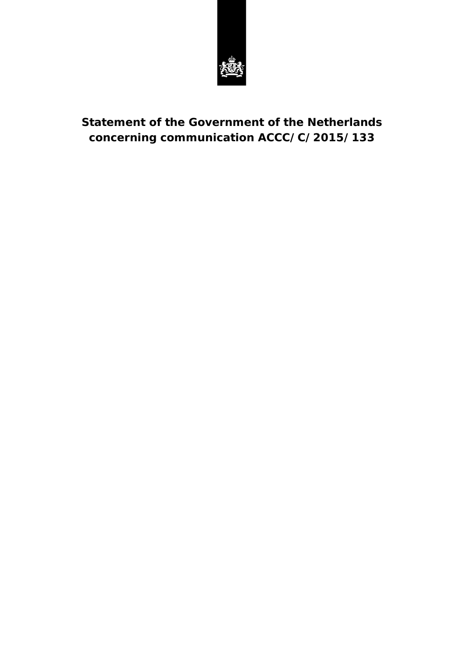

# **Statement of the Government of the Netherlands concerning communication ACCC/C/2015/133**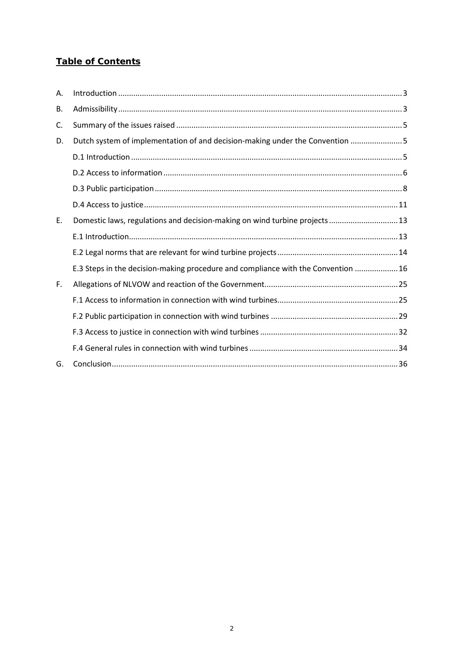# **Table of Contents**

| Α. |                                                                                   |
|----|-----------------------------------------------------------------------------------|
| В. |                                                                                   |
| C. |                                                                                   |
| D. | Dutch system of implementation of and decision-making under the Convention 5      |
|    |                                                                                   |
|    |                                                                                   |
|    |                                                                                   |
|    |                                                                                   |
| E. | Domestic laws, regulations and decision-making on wind turbine projects 13        |
|    |                                                                                   |
|    |                                                                                   |
|    | E.3 Steps in the decision-making procedure and compliance with the Convention  16 |
| F. |                                                                                   |
|    |                                                                                   |
|    |                                                                                   |
|    |                                                                                   |
|    |                                                                                   |
| G. |                                                                                   |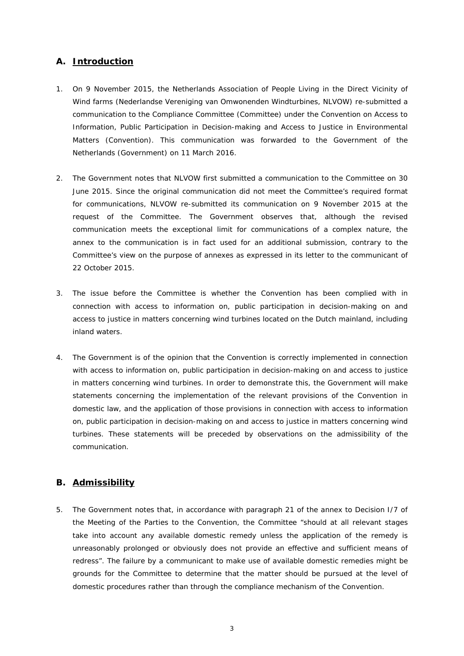### <span id="page-2-0"></span>**A. Introduction**

- 1. On 9 November 2015, the Netherlands Association of People Living in the Direct Vicinity of Wind farms (*Nederlandse Vereniging van Omwonenden Windturbines*, NLVOW) re-submitted a communication to the Compliance Committee (Committee) under the Convention on Access to Information, Public Participation in Decision-making and Access to Justice in Environmental Matters (Convention). This communication was forwarded to the Government of the Netherlands (Government) on 11 March 2016.
- 2. The Government notes that NLVOW first submitted a communication to the Committee on 30 June 2015. Since the original communication did not meet the Committee's required format for communications, NLVOW re-submitted its communication on 9 November 2015 at the request of the Committee. The Government observes that, although the revised communication meets the exceptional limit for communications of a complex nature, the annex to the communication is in fact used for an additional submission, contrary to the Committee's view on the purpose of annexes as expressed in its letter to the communicant of 22 October 2015.
- 3. The issue before the Committee is whether the Convention has been complied with in connection with access to information on, public participation in decision-making on and access to justice in matters concerning wind turbines located on the Dutch mainland, including inland waters.
- 4. The Government is of the opinion that the Convention is correctly implemented in connection with access to information on, public participation in decision-making on and access to justice in matters concerning wind turbines. In order to demonstrate this, the Government will make statements concerning the implementation of the relevant provisions of the Convention in domestic law, and the application of those provisions in connection with access to information on, public participation in decision-making on and access to justice in matters concerning wind turbines. These statements will be preceded by observations on the admissibility of the communication.

### <span id="page-2-1"></span>**B. Admissibility**

5. The Government notes that, in accordance with paragraph 21 of the annex to Decision I/7 of the Meeting of the Parties to the Convention, the Committee "should at all relevant stages take into account any available domestic remedy unless the application of the remedy is unreasonably prolonged or obviously does not provide an effective and sufficient means of redress". The failure by a communicant to make use of available domestic remedies might be grounds for the Committee to determine that the matter should be pursued at the level of domestic procedures rather than through the compliance mechanism of the Convention.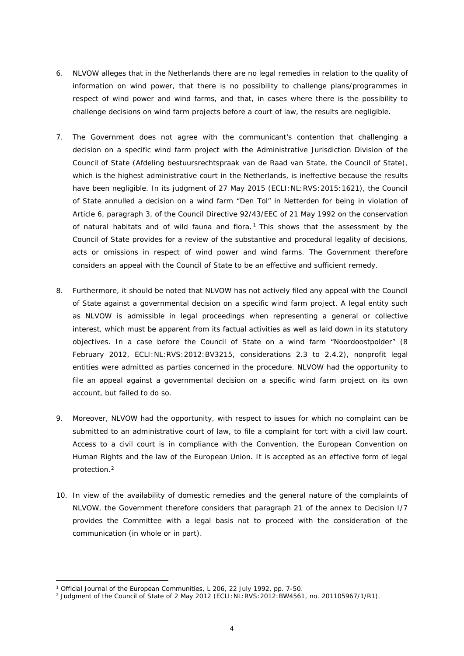- 6. NLVOW alleges that in the Netherlands there are no legal remedies in relation to the quality of information on wind power, that there is no possibility to challenge plans/programmes in respect of wind power and wind farms, and that, in cases where there is the possibility to challenge decisions on wind farm projects before a court of law, the results are negligible.
- 7. The Government does not agree with the communicant's contention that challenging a decision on a specific wind farm project with the Administrative Jurisdiction Division of the Council of State (*Afdeling bestuursrechtspraak van de Raad van State*, the Council of State), which is the highest administrative court in the Netherlands, is ineffective because the results have been negligible. In its judgment of 27 May 2015 (ECLI:NL:RVS:2015:1621), the Council of State annulled a decision on a wind farm "*Den Tol*" in *Netterden* for being in violation of Article 6, paragraph 3, of the Council Directive 92/43/EEC of 21 May 1992 on the conservation of natural habitats and of wild fauna and flora.<sup>[1](#page-3-0)</sup> This shows that the assessment by the Council of State provides for a review of the substantive and procedural legality of decisions, acts or omissions in respect of wind power and wind farms. The Government therefore considers an appeal with the Council of State to be an effective and sufficient remedy.
- 8. Furthermore, it should be noted that NLVOW has not actively filed any appeal with the Council of State against a governmental decision on a specific wind farm project. A legal entity such as NLVOW is admissible in legal proceedings when representing a general or collective interest, which must be apparent from its factual activities as well as laid down in its statutory objectives. In a case before the Council of State on a wind farm "*Noordoostpolder*" (8 February 2012, ECLI:NL:RVS:2012:BV3215, considerations 2.3 to 2.4.2), nonprofit legal entities were admitted as parties concerned in the procedure. NLVOW had the opportunity to file an appeal against a governmental decision on a specific wind farm project on its own account, but failed to do so.
- 9. Moreover, NLVOW had the opportunity, with respect to issues for which no complaint can be submitted to an administrative court of law, to file a complaint for tort with a civil law court. Access to a civil court is in compliance with the Convention, the European Convention on Human Rights and the law of the European Union. It is accepted as an effective form of legal protection.[2](#page-3-1)
- 10. In view of the availability of domestic remedies and the general nature of the complaints of NLVOW, the Government therefore considers that paragraph 21 of the annex to Decision I/7 provides the Committee with a legal basis not to proceed with the consideration of the communication (in whole or in part).

<sup>&</sup>lt;sup>1</sup> Official Journal of the European Communities, L 206, 22 July 1992, pp. 7-50.

<span id="page-3-1"></span><span id="page-3-0"></span><sup>&</sup>lt;sup>2</sup> Judgment of the Council of State of 2 May 2012 (ECLI:NL:RVS: 2012: BW4561, no. 201105967/1/R1).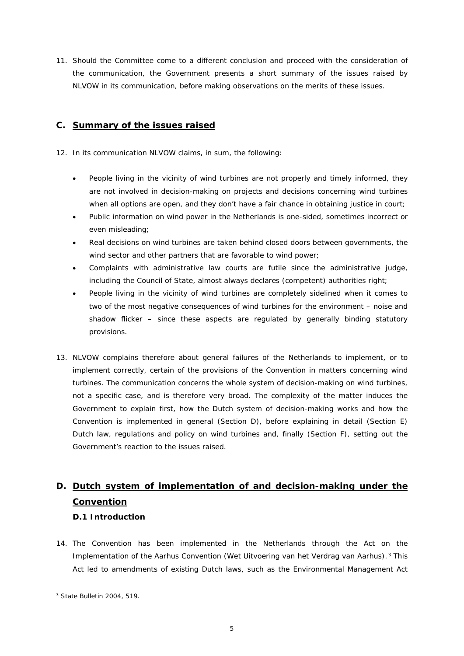11. Should the Committee come to a different conclusion and proceed with the consideration of the communication, the Government presents a short summary of the issues raised by NLVOW in its communication, before making observations on the merits of these issues.

### <span id="page-4-0"></span>**C. Summary of the issues raised**

- 12. In its communication NLVOW claims, in sum, the following:
	- People living in the vicinity of wind turbines are not properly and timely informed, they are not involved in decision-making on projects and decisions concerning wind turbines when all options are open, and they don't have a fair chance in obtaining justice in court;
	- Public information on wind power in the Netherlands is one-sided, sometimes incorrect or even misleading;
	- Real decisions on wind turbines are taken behind closed doors between governments, the wind sector and other partners that are favorable to wind power;
	- Complaints with administrative law courts are futile since the administrative judge, including the Council of State, almost always declares (competent) authorities right;
	- People living in the vicinity of wind turbines are completely sidelined when it comes to two of the most negative consequences of wind turbines for the environment – noise and shadow flicker – since these aspects are regulated by generally binding statutory provisions.
- 13. NLVOW complains therefore about general failures of the Netherlands to implement, or to implement correctly, certain of the provisions of the Convention in matters concerning wind turbines. The communication concerns the whole system of decision-making on wind turbines, not a specific case, and is therefore very broad. The complexity of the matter induces the Government to explain first, how the Dutch system of decision-making works and how the Convention is implemented in general (Section D), before explaining in detail (Section E) Dutch law, regulations and policy on wind turbines and, finally (Section F), setting out the Government's reaction to the issues raised.

# <span id="page-4-1"></span>**D. Dutch system of implementation of and decision-making under the Convention**

### <span id="page-4-2"></span>**D.1 Introduction**

14. The Convention has been implemented in the Netherlands through the Act on the Implementation of the Aarhus Convention (*Wet Uitvoering van het Verdrag van Aarhus*).[3](#page-4-3) This Act led to amendments of existing Dutch laws, such as the Environmental Management Act

<span id="page-4-3"></span><sup>3</sup> State Bulletin 2004, 519.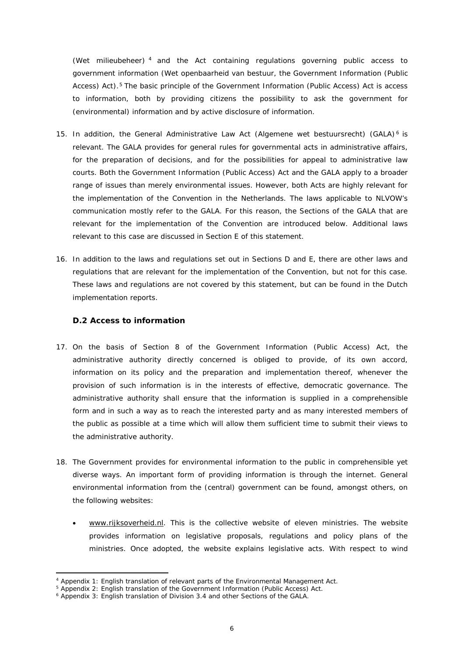(*Wet milieubeheer*) [4](#page-5-1) and the Act containing regulations governing public access to government information (*Wet openbaarheid van bestuur*, the Government Information (Public Access) Act).<sup>[5](#page-5-2)</sup> The basic principle of the Government Information (Public Access) Act is access to information, both by providing citizens the possibility to ask the government for (environmental) information and by active disclosure of information.

- 15. In addition, the General Administrative Law Act (*Algemene wet bestuursrecht*) (GALA) [6](#page-5-3) is relevant. The GALA provides for general rules for governmental acts in administrative affairs, for the preparation of decisions, and for the possibilities for appeal to administrative law courts. Both the Government Information (Public Access) Act and the GALA apply to a broader range of issues than merely environmental issues. However, both Acts are highly relevant for the implementation of the Convention in the Netherlands. The laws applicable to NLVOW's communication mostly refer to the GALA. For this reason, the Sections of the GALA that are relevant for the implementation of the Convention are introduced below. Additional laws relevant to this case are discussed in Section E of this statement.
- 16. In addition to the laws and regulations set out in Sections D and E, there are other laws and regulations that are relevant for the implementation of the Convention, but not for this case. These laws and regulations are not covered by this statement, but can be found in the Dutch implementation reports.

### <span id="page-5-0"></span>**D.2 Access to information**

- 17. On the basis of Section 8 of the Government Information (Public Access) Act, the administrative authority directly concerned is obliged to provide, of its own accord, information on its policy and the preparation and implementation thereof, whenever the provision of such information is in the interests of effective, democratic governance. The administrative authority shall ensure that the information is supplied in a comprehensible form and in such a way as to reach the interested party and as many interested members of the public as possible at a time which will allow them sufficient time to submit their views to the administrative authority.
- 18. The Government provides for environmental information to the public in comprehensible yet diverse ways. An important form of providing information is through the internet. General environmental information from the (central) government can be found, amongst others, on the following websites:
	- [www.rijksoverheid.nl.](http://www.rijksoverheid.nl/) This is the collective website of eleven ministries. The website provides information on legislative proposals, regulations and policy plans of the ministries. Once adopted, the website explains legislative acts. With respect to wind

<span id="page-5-1"></span><sup>4</sup> Appendix 1: English translation of relevant parts of the Environmental Management Act.

<sup>&</sup>lt;sup>5</sup> Appendix 2: English translation of the Government Information (Public Access) Act.

<span id="page-5-3"></span><span id="page-5-2"></span><sup>&</sup>lt;sup>6</sup> Appendix 3: English translation of Division 3.4 and other Sections of the GALA.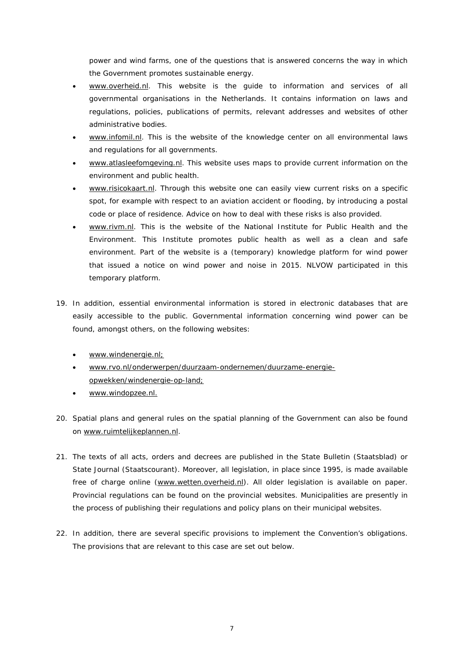power and wind farms, one of the questions that is answered concerns the way in which the Government promotes sustainable energy.

- [www.overheid.nl.](http://www.overheid.nl/) This website is the guide to information and services of all governmental organisations in the Netherlands. It contains information on laws and regulations, policies, publications of permits, relevant addresses and websites of other administrative bodies.
- [www.infomil.nl.](http://www.infomil.nl/) This is the website of the knowledge center on all environmental laws and regulations for all governments.
- [www.atlasleefomgeving.nl.](http://www.atlasleefomgeving.nl/) This website uses maps to provide current information on the environment and public health.
- [www.risicokaart.nl.](http://www.risicokaart.nl/) Through this website one can easily view current risks on a specific spot, for example with respect to an aviation accident or flooding, by introducing a postal code or place of residence. Advice on how to deal with these risks is also provided.
- [www.rivm.nl.](http://www.rivm.nl/) This is the website of the National Institute for Public Health and the Environment. This Institute promotes public health as well as a clean and safe environment. Part of the website is a (temporary) knowledge platform for wind power that issued a notice on wind power and noise in 2015. NLVOW participated in this temporary platform.
- 19. In addition, essential environmental information is stored in electronic databases that are easily accessible to the public. Governmental information concerning wind power can be found, amongst others, on the following websites:
	- [www.windenergie.nl;](http://www.windenergie.nl/)
	- [www.rvo.nl/onderwerpen/duurzaam-ondernemen/duurzame-energie](http://www.rvo.nl/onderwerpen/duurzaam-ondernemen/duurzame-energie-opwekken/windenergie-op-land)[opwekken/windenergie-op-land;](http://www.rvo.nl/onderwerpen/duurzaam-ondernemen/duurzame-energie-opwekken/windenergie-op-land)
	- [www.windopzee.nl.](http://www.windopzee.nl/)
- 20. Spatial plans and general rules on the spatial planning of the Government can also be found on [www.ruimtelijkeplannen.nl.](http://www.ruimtelijkeplannen.nl/)
- 21. The texts of all acts, orders and decrees are published in the State Bulletin (*Staatsblad*) or State Journal (*Staatscourant*). Moreover, all legislation, in place since 1995, is made available free of charge online [\(www.wetten.overheid.nl\)](http://www.wetten.overheid.nl/). All older legislation is available on paper. Provincial regulations can be found on the provincial websites. Municipalities are presently in the process of publishing their regulations and policy plans on their municipal websites.
- 22. In addition, there are several specific provisions to implement the Convention's obligations. The provisions that are relevant to this case are set out below.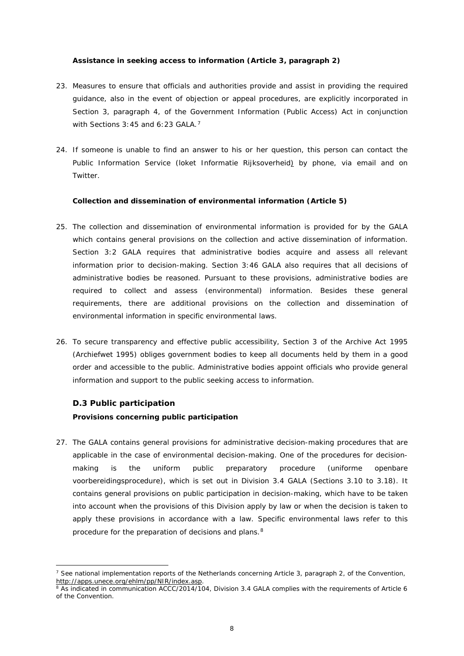### **Assistance in seeking access to information (Article 3, paragraph 2)**

- 23. Measures to ensure that officials and authorities provide and assist in providing the required guidance, also in the event of objection or appeal procedures, are explicitly incorporated in Section 3, paragraph 4, of the Government Information (Public Access) Act in conjunction with Sections 3:45 and 6:23 GALA.<sup>[7](#page-7-1)</sup>
- 24. If someone is unable to find an answer to his or her question, this person can contact the Public Information Service (*loket Informatie Rijksoverheid*) by phone, via email and on Twitter.

### **Collection and dissemination of environmental information (Article 5)**

- 25. The collection and dissemination of environmental information is provided for by the GALA which contains general provisions on the collection and active dissemination of information. Section 3:2 GALA requires that administrative bodies acquire and assess all relevant information prior to decision-making. Section 3:46 GALA also requires that all decisions of administrative bodies be reasoned. Pursuant to these provisions, administrative bodies are required to collect and assess (environmental) information. Besides these general requirements, there are additional provisions on the collection and dissemination of environmental information in specific environmental laws.
- 26. To secure transparency and effective public accessibility, Section 3 of the Archive Act 1995 (*Archiefwet 1995*) obliges government bodies to keep all documents held by them in a good order and accessible to the public. Administrative bodies appoint officials who provide general information and support to the public seeking access to information.

### <span id="page-7-0"></span>**D.3 Public participation**

**.** 

### **Provisions concerning public participation**

27. The GALA contains general provisions for administrative decision-making procedures that are applicable in the case of environmental decision-making. One of the procedures for decisionmaking is the uniform public preparatory procedure (*uniforme openbare voorbereidingsprocedure*), which is set out in Division 3.4 GALA (Sections 3.10 to 3.18). It contains general provisions on public participation in decision-making, which have to be taken into account when the provisions of this Division apply by law or when the decision is taken to apply these provisions in accordance with a law. Specific environmental laws refer to this procedure for the preparation of decisions and plans.<sup>[8](#page-7-2)</sup>

<span id="page-7-1"></span><sup>&</sup>lt;sup>7</sup> See national implementation reports of the Netherlands concerning Article 3, paragraph 2, of the Convention, [http://apps.unece.org/ehlm/pp/NIR/index.asp.](http://apps.unece.org/ehlm/pp/NIR/index.asp)

<span id="page-7-2"></span><sup>&</sup>lt;sup>8</sup> As indicated in communication ACCC/2014/104, Division 3.4 GALA complies with the requirements of Article 6 of the Convention.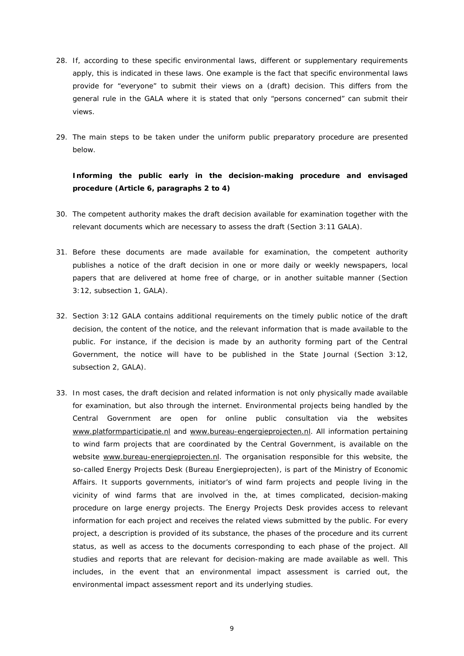- 28. If, according to these specific environmental laws, different or supplementary requirements apply, this is indicated in these laws. One example is the fact that specific environmental laws provide for "everyone" to submit their views on a (draft) decision. This differs from the general rule in the GALA where it is stated that only "persons concerned" can submit their views.
- 29. The main steps to be taken under the uniform public preparatory procedure are presented below.

### **Informing the public early in the decision-making procedure and envisaged procedure (Article 6, paragraphs 2 to 4)**

- 30. The competent authority makes the draft decision available for examination together with the relevant documents which are necessary to assess the draft (Section 3:11 GALA).
- 31. Before these documents are made available for examination, the competent authority publishes a notice of the draft decision in one or more daily or weekly newspapers, local papers that are delivered at home free of charge, or in another suitable manner (Section 3:12, subsection 1, GALA).
- 32. Section 3:12 GALA contains additional requirements on the timely public notice of the draft decision, the content of the notice, and the relevant information that is made available to the public. For instance, if the decision is made by an authority forming part of the Central Government, the notice will have to be published in the State Journal (Section 3:12, subsection 2, GALA).
- 33. In most cases, the draft decision and related information is not only physically made available for examination, but also through the internet. Environmental projects being handled by the Central Government are open for online public consultation via the websites [www.platformparticipatie.nl](http://www.platformparticipatie.nl/) and www.bureau-engergieprojecten.nl</u>. All information pertaining to wind farm projects that are coordinated by the Central Government, is available on the website [www.bureau-energieprojecten.nl.](http://www.bureau-energieprojecten.nl/) The organisation responsible for this website, the so-called Energy Projects Desk (*Bureau Energieprojecten*), is part of the Ministry of Economic Affairs. It supports governments, initiator's of wind farm projects and people living in the vicinity of wind farms that are involved in the, at times complicated, decision-making procedure on large energy projects. The Energy Projects Desk provides access to relevant information for each project and receives the related views submitted by the public. For every project, a description is provided of its substance, the phases of the procedure and its current status, as well as access to the documents corresponding to each phase of the project. All studies and reports that are relevant for decision-making are made available as well. This includes, in the event that an environmental impact assessment is carried out, the environmental impact assessment report and its underlying studies.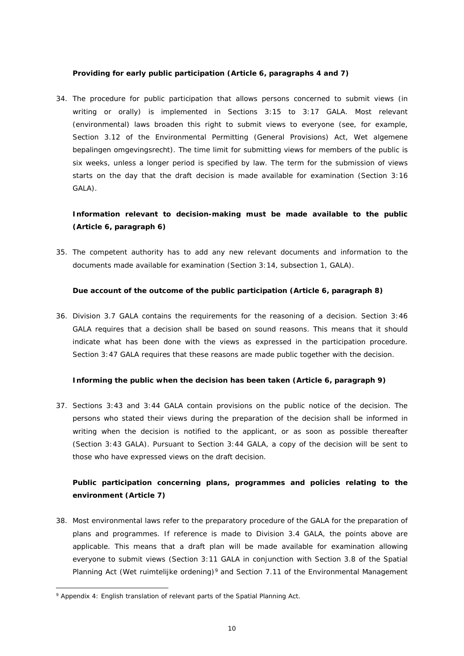### **Providing for early public participation (Article 6, paragraphs 4 and 7)**

34. The procedure for public participation that allows persons concerned to submit views (in writing or orally) is implemented in Sections 3:15 to 3:17 GALA. Most relevant (environmental) laws broaden this right to submit views to everyone (see, for example, Section 3.12 of the Environmental Permitting (General Provisions) Act, *Wet algemene bepalingen omgevingsrecht*). The time limit for submitting views for members of the public is six weeks, unless a longer period is specified by law. The term for the submission of views starts on the day that the draft decision is made available for examination (Section 3:16 GALA).

### **Information relevant to decision-making must be made available to the public (Article 6, paragraph 6)**

35. The competent authority has to add any new relevant documents and information to the documents made available for examination (Section 3:14, subsection 1, GALA).

#### **Due account of the outcome of the public participation (Article 6, paragraph 8)**

36. Division 3.7 GALA contains the requirements for the reasoning of a decision. Section 3:46 GALA requires that a decision shall be based on sound reasons. This means that it should indicate what has been done with the views as expressed in the participation procedure. Section 3:47 GALA requires that these reasons are made public together with the decision.

### **Informing the public when the decision has been taken (Article 6, paragraph 9)**

37. Sections 3:43 and 3:44 GALA contain provisions on the public notice of the decision. The persons who stated their views during the preparation of the decision shall be informed in writing when the decision is notified to the applicant, or as soon as possible thereafter (Section 3:43 GALA). Pursuant to Section 3:44 GALA, a copy of the decision will be sent to those who have expressed views on the draft decision.

### **Public participation concerning plans, programmes and policies relating to the environment (Article 7)**

38. Most environmental laws refer to the preparatory procedure of the GALA for the preparation of plans and programmes. If reference is made to Division 3.4 GALA, the points above are applicable. This means that a draft plan will be made available for examination allowing everyone to submit views (Section 3:11 GALA in conjunction with Section 3.8 of the Spatial Planning Act (*Wet ruimtelijke ordening*)[9](#page-9-0) and Section 7.11 of the Environmental Management

<span id="page-9-0"></span><sup>9</sup> Appendix 4: English translation of relevant parts of the Spatial Planning Act.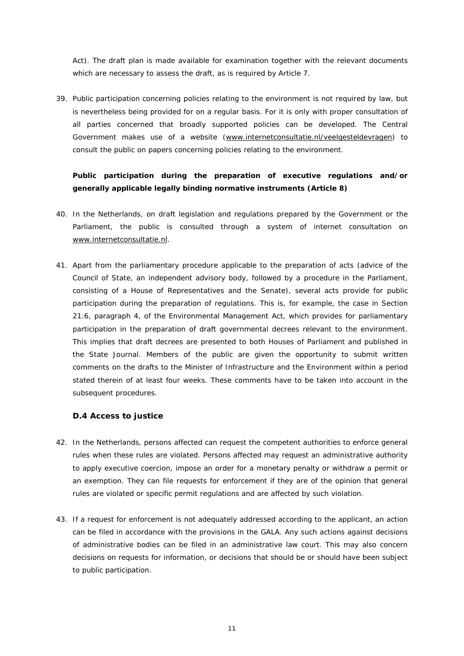Act). The draft plan is made available for examination together with the relevant documents which are necessary to assess the draft, as is required by Article 7.

39. Public participation concerning policies relating to the environment is not required by law, but is nevertheless being provided for on a regular basis. For it is only with proper consultation of all parties concerned that broadly supported policies can be developed. The Central Government makes use of a website [\(www.internetconsultatie.nl/veelgesteldevragen\)](http://www.internetconsultatie.nl/veelgesteldevragen) to consult the public on papers concerning policies relating to the environment.

### **Public participation during the preparation of executive regulations and/or generally applicable legally binding normative instruments (Article 8)**

- 40. In the Netherlands, on draft legislation and regulations prepared by the Government or the Parliament, the public is consulted through a system of internet consultation on [www.internetconsultatie.nl.](http://www.internetconsultatie.nl/)
- 41. Apart from the parliamentary procedure applicable to the preparation of acts (advice of the Council of State, an independent advisory body, followed by a procedure in the Parliament, consisting of a House of Representatives and the Senate), several acts provide for public participation during the preparation of regulations. This is, for example, the case in Section 21.6, paragraph 4, of the Environmental Management Act, which provides for parliamentary participation in the preparation of draft governmental decrees relevant to the environment. This implies that draft decrees are presented to both Houses of Parliament and published in the State Journal. Members of the public are given the opportunity to submit written comments on the drafts to the Minister of Infrastructure and the Environment within a period stated therein of at least four weeks. These comments have to be taken into account in the subsequent procedures.

### <span id="page-10-0"></span>**D.4 Access to justice**

- 42. In the Netherlands, persons affected can request the competent authorities to enforce general rules when these rules are violated. Persons affected may request an administrative authority to apply executive coercion, impose an order for a monetary penalty or withdraw a permit or an exemption. They can file requests for enforcement if they are of the opinion that general rules are violated or specific permit regulations and are affected by such violation.
- 43. If a request for enforcement is not adequately addressed according to the applicant, an action can be filed in accordance with the provisions in the GALA. Any such actions against decisions of administrative bodies can be filed in an administrative law court. This may also concern decisions on requests for information, or decisions that should be or should have been subject to public participation.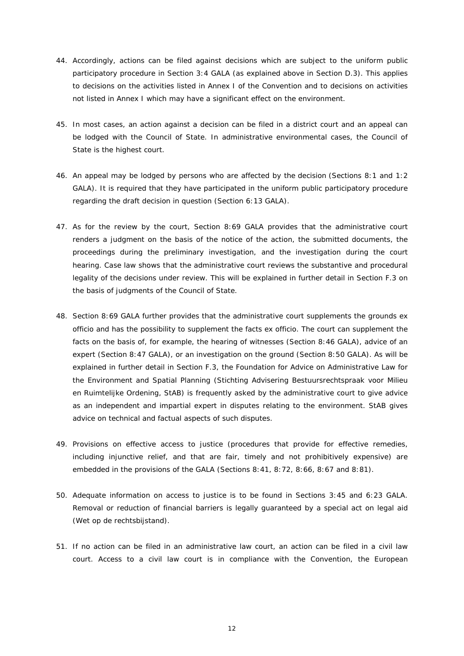- 44. Accordingly, actions can be filed against decisions which are subject to the uniform public participatory procedure in Section 3:4 GALA (as explained above in Section D.3). This applies to decisions on the activities listed in Annex I of the Convention and to decisions on activities not listed in Annex I which may have a significant effect on the environment.
- 45. In most cases, an action against a decision can be filed in a district court and an appeal can be lodged with the Council of State. In administrative environmental cases, the Council of State is the highest court.
- 46. An appeal may be lodged by persons who are affected by the decision (Sections 8:1 and 1:2 GALA). It is required that they have participated in the uniform public participatory procedure regarding the draft decision in question (Section 6:13 GALA).
- 47. As for the review by the court, Section 8:69 GALA provides that the administrative court renders a judgment on the basis of the notice of the action, the submitted documents, the proceedings during the preliminary investigation, and the investigation during the court hearing. Case law shows that the administrative court reviews the substantive and procedural legality of the decisions under review. This will be explained in further detail in Section F.3 on the basis of judgments of the Council of State.
- 48. Section 8:69 GALA further provides that the administrative court supplements the grounds *ex officio* and has the possibility to supplement the facts *ex officio*. The court can supplement the facts on the basis of, for example, the hearing of witnesses (Section 8:46 GALA), advice of an expert (Section 8:47 GALA), or an investigation on the ground (Section 8:50 GALA). As will be explained in further detail in Section F.3, the Foundation for Advice on Administrative Law for the Environment and Spatial Planning (*Stichting Advisering Bestuursrechtspraak voor Milieu en Ruimtelijke Ordening*, StAB) is frequently asked by the administrative court to give advice as an independent and impartial expert in disputes relating to the environment. StAB gives advice on technical and factual aspects of such disputes.
- 49. Provisions on effective access to justice (procedures that provide for effective remedies, including injunctive relief, and that are fair, timely and not prohibitively expensive) are embedded in the provisions of the GALA (Sections 8:41, 8:72, 8:66, 8:67 and 8:81).
- 50. Adequate information on access to justice is to be found in Sections 3:45 and 6:23 GALA. Removal or reduction of financial barriers is legally guaranteed by a special act on legal aid (*Wet op de rechtsbijstand*).
- 51. If no action can be filed in an administrative law court, an action can be filed in a civil law court. Access to a civil law court is in compliance with the Convention, the European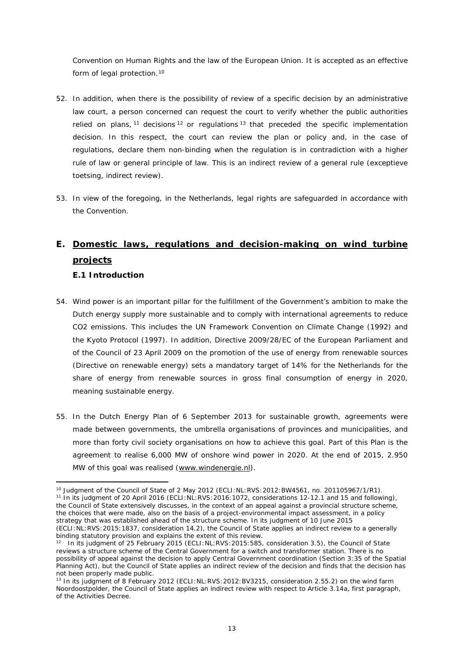Convention on Human Rights and the law of the European Union. It is accepted as an effective form of legal protection.<sup>[10](#page-12-2)</sup>

- 52. In addition, when there is the possibility of review of a specific decision by an administrative law court, a person concerned can request the court to verify whether the public authorities relied on plans,  $11$  decisions  $12$  or regulations  $13$  that preceded the specific implementation decision. In this respect, the court can review the plan or policy and, in the case of regulations, declare them non-binding when the regulation is in contradiction with a higher rule of law or general principle of law. This is an indirect review of a general rule (*exceptieve toetsing*, indirect review).
- 53. In view of the foregoing, in the Netherlands, legal rights are safeguarded in accordance with the Convention.

# <span id="page-12-0"></span>**E. Domestic laws, regulations and decision-making on wind turbine projects E.1 Introduction**

- <span id="page-12-1"></span>54. Wind power is an important pillar for the fulfillment of the Government's ambition to make the Dutch energy supply more sustainable and to comply with international agreements to reduce CO2 emissions. This includes the UN Framework Convention on Climate Change (1992) and the Kyoto Protocol (1997). In addition, Directive 2009/28/EC of the European Parliament and of the Council of 23 April 2009 on the promotion of the use of energy from renewable sources (Directive on renewable energy) sets a mandatory target of 14% for the Netherlands for the share of energy from renewable sources in gross final consumption of energy in 2020, meaning sustainable energy.
- 55. In the Dutch Energy Plan of 6 September 2013 for sustainable growth, agreements were made between governments, the umbrella organisations of provinces and municipalities, and more than forty civil society organisations on how to achieve this goal. Part of this Plan is the agreement to realise 6,000 MW of onshore wind power in 2020. At the end of 2015, 2.950 MW of this goal was realised [\(www.windenergie.nl\)](http://www.windenergie.nl/).

<span id="page-12-3"></span><span id="page-12-2"></span><sup>10</sup> Judgment of the Council of State of 2 May 2012 (ECLI:NL:RVS:2012:BW4561, no. 201105967/1/R1). <sup>11</sup> In its judgment of 20 April 2016 (ECLI:NL:RVS:2016:1072, considerations 12-12.1 and 15 and following), the Council of State extensively discusses, in the context of an appeal against a provincial structure scheme, the choices that were made, also on the basis of a project-environmental impact assessment, in a policy strategy that was established ahead of the structure scheme. In its judgment of 10 June 2015 (ECLI:NL:RVS:2015:1837, consideration 14.2), the Council of State applies an indirect review to a generally binding statutory provision and explains the extent of this review.

<span id="page-12-4"></span><sup>&</sup>lt;sup>12</sup> In its judgment of 25 February 2015 (ECLI:NL:RVS:2015:585, consideration 3.5), the Council of State reviews a structure scheme of the Central Government for a switch and transformer station. There is no possibility of appeal against the decision to apply Central Government coordination (Section 3:35 of the Spatial Planning Act), but the Council of State applies an indirect review of the decision and finds that the decision has not been properly made public.

<span id="page-12-5"></span><sup>&</sup>lt;sup>13</sup> In its judgment of 8 February 2012 (ECLI:NL:RVS: 2012: BV3215, consideration 2.55.2) on the wind farm *Noordoostpolder*, the Council of State applies an indirect review with respect to Article 3.14a, first paragraph, of the Activities Decree.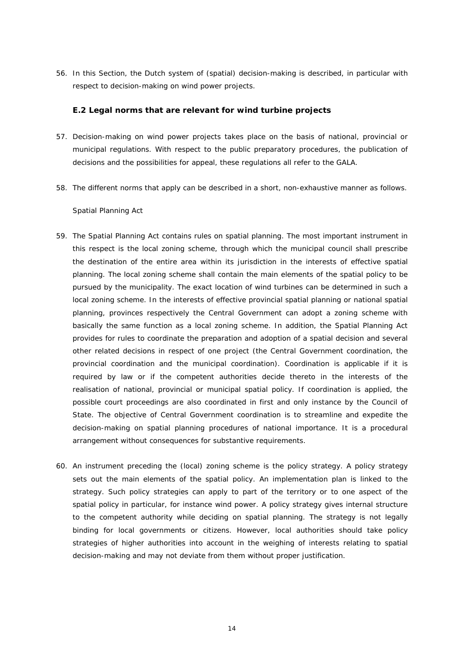56. In this Section, the Dutch system of (spatial) decision-making is described, in particular with respect to decision-making on wind power projects.

### <span id="page-13-0"></span>**E.2 Legal norms that are relevant for wind turbine projects**

- 57. Decision-making on wind power projects takes place on the basis of national, provincial or municipal regulations. With respect to the public preparatory procedures, the publication of decisions and the possibilities for appeal, these regulations all refer to the GALA.
- 58. The different norms that apply can be described in a short, non-exhaustive manner as follows.

#### *Spatial Planning Act*

- 59. The Spatial Planning Act contains rules on spatial planning. The most important instrument in this respect is the local zoning scheme, through which the municipal council shall prescribe the destination of the entire area within its jurisdiction in the interests of effective spatial planning. The local zoning scheme shall contain the main elements of the spatial policy to be pursued by the municipality. The exact location of wind turbines can be determined in such a local zoning scheme. In the interests of effective provincial spatial planning or national spatial planning, provinces respectively the Central Government can adopt a zoning scheme with basically the same function as a local zoning scheme. In addition, the Spatial Planning Act provides for rules to coordinate the preparation and adoption of a spatial decision and several other related decisions in respect of one project (the Central Government coordination, the provincial coordination and the municipal coordination). Coordination is applicable if it is required by law or if the competent authorities decide thereto in the interests of the realisation of national, provincial or municipal spatial policy. If coordination is applied, the possible court proceedings are also coordinated in first and only instance by the Council of State. The objective of Central Government coordination is to streamline and expedite the decision-making on spatial planning procedures of national importance. It is a procedural arrangement without consequences for substantive requirements.
- 60. An instrument preceding the (local) zoning scheme is the policy strategy. A policy strategy sets out the main elements of the spatial policy. An implementation plan is linked to the strategy. Such policy strategies can apply to part of the territory or to one aspect of the spatial policy in particular, for instance wind power. A policy strategy gives internal structure to the competent authority while deciding on spatial planning. The strategy is not legally binding for local governments or citizens. However, local authorities should take policy strategies of higher authorities into account in the weighing of interests relating to spatial decision-making and may not deviate from them without proper justification.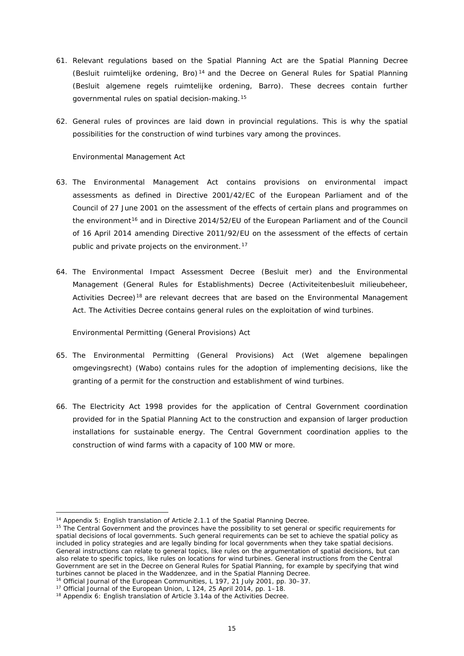- 61. Relevant regulations based on the Spatial Planning Act are the Spatial Planning Decree (*Besluit ruimtelijke ordening*, Bro) [14](#page-14-0) and the Decree on General Rules for Spatial Planning (*Besluit algemene regels ruimtelijke ordening*, Barro). These decrees contain further governmental rules on spatial decision-making.[15](#page-14-1)
- 62. General rules of provinces are laid down in provincial regulations. This is why the spatial possibilities for the construction of wind turbines vary among the provinces.

### *Environmental Management Act*

- 63. The Environmental Management Act contains provisions on environmental impact assessments as defined in Directive 2001/42/EC of the European Parliament and of the Council of 27 June 2001 on the assessment of the effects of certain plans and programmes on the environment<sup>[16](#page-14-2)</sup> and in Directive 2014/52/EU of the European Parliament and of the Council of 16 April 2014 amending Directive 2011/92/EU on the assessment of the effects of certain public and private projects on the environment.<sup>[17](#page-14-3)</sup>
- 64. The Environmental Impact Assessment Decree (*Besluit mer*) and the Environmental Management (General Rules for Establishments) Decree (*Activiteitenbesluit milieubeheer*, Activities Decree)<sup>[18](#page-14-4)</sup> are relevant decrees that are based on the Environmental Management Act. The Activities Decree contains general rules on the exploitation of wind turbines.

### *Environmental Permitting (General Provisions) Act*

- 65. The Environmental Permitting (General Provisions) Act (*Wet algemene bepalingen omgevingsrecht*) (Wabo) contains rules for the adoption of implementing decisions, like the granting of a permit for the construction and establishment of wind turbines.
- 66. The Electricity Act 1998 provides for the application of Central Government coordination provided for in the Spatial Planning Act to the construction and expansion of larger production installations for sustainable energy. The Central Government coordination applies to the construction of wind farms with a capacity of 100 MW or more.

 $\overline{a}$ 

<sup>14</sup> Appendix 5: English translation of Article 2.1.1 of the Spatial Planning Decree.

<span id="page-14-1"></span><span id="page-14-0"></span><sup>&</sup>lt;sup>15</sup> The Central Government and the provinces have the possibility to set general or specific requirements for spatial decisions of local governments. Such general requirements can be set to achieve the spatial policy as included in policy strategies and are legally binding for local governments when they take spatial decisions. General instructions can relate to general topics, like rules on the argumentation of spatial decisions, but can also relate to specific topics, like rules on locations for wind turbines. General instructions from the Central Government are set in the Decree on General Rules for Spatial Planning, for example by specifying that wind turbines cannot be placed in the *Waddenzee*, and in the Spatial Planning Decree.

<sup>&</sup>lt;sup>16</sup> Official Journal of the European Communities, L 197, 21 July 2001, pp. 30–37.

<span id="page-14-3"></span><span id="page-14-2"></span><sup>&</sup>lt;sup>17</sup> Official Journal of the European Union, L 124, 25 April 2014, pp. 1-18.

<span id="page-14-4"></span><sup>&</sup>lt;sup>18</sup> Appendix 6: English translation of Article 3.14a of the Activities Decree.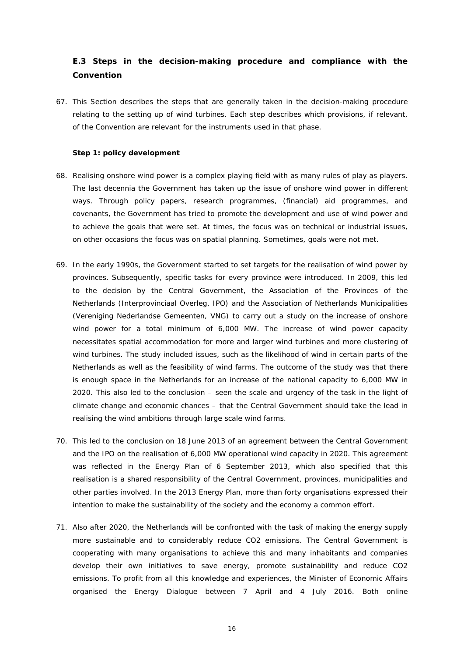### <span id="page-15-0"></span>**E.3 Steps in the decision-making procedure and compliance with the Convention**

67. This Section describes the steps that are generally taken in the decision-making procedure relating to the setting up of wind turbines. Each step describes which provisions, if relevant, of the Convention are relevant for the instruments used in that phase.

#### **Step 1: policy development**

- 68. Realising onshore wind power is a complex playing field with as many rules of play as players. The last decennia the Government has taken up the issue of onshore wind power in different ways. Through policy papers, research programmes, (financial) aid programmes, and covenants, the Government has tried to promote the development and use of wind power and to achieve the goals that were set. At times, the focus was on technical or industrial issues, on other occasions the focus was on spatial planning. Sometimes, goals were not met.
- 69. In the early 1990s, the Government started to set targets for the realisation of wind power by provinces. Subsequently, specific tasks for every province were introduced. In 2009, this led to the decision by the Central Government, the Association of the Provinces of the Netherlands (*Interprovinciaal Overleg*, IPO) and the Association of Netherlands Municipalities (*Vereniging Nederlandse Gemeenten*, VNG) to carry out a study on the increase of onshore wind power for a total minimum of 6,000 MW. The increase of wind power capacity necessitates spatial accommodation for more and larger wind turbines and more clustering of wind turbines. The study included issues, such as the likelihood of wind in certain parts of the Netherlands as well as the feasibility of wind farms. The outcome of the study was that there is enough space in the Netherlands for an increase of the national capacity to 6,000 MW in 2020. This also led to the conclusion – seen the scale and urgency of the task in the light of climate change and economic chances – that the Central Government should take the lead in realising the wind ambitions through large scale wind farms.
- 70. This led to the conclusion on 18 June 2013 of an agreement between the Central Government and the IPO on the realisation of 6,000 MW operational wind capacity in 2020. This agreement was reflected in the Energy Plan of 6 September 2013, which also specified that this realisation is a shared responsibility of the Central Government, provinces, municipalities and other parties involved. In the 2013 Energy Plan, more than forty organisations expressed their intention to make the sustainability of the society and the economy a common effort.
- 71. Also after 2020, the Netherlands will be confronted with the task of making the energy supply more sustainable and to considerably reduce CO2 emissions. The Central Government is cooperating with many organisations to achieve this and many inhabitants and companies develop their own initiatives to save energy, promote sustainability and reduce CO2 emissions. To profit from all this knowledge and experiences, the Minister of Economic Affairs organised the Energy Dialogue between 7 April and 4 July 2016. Both online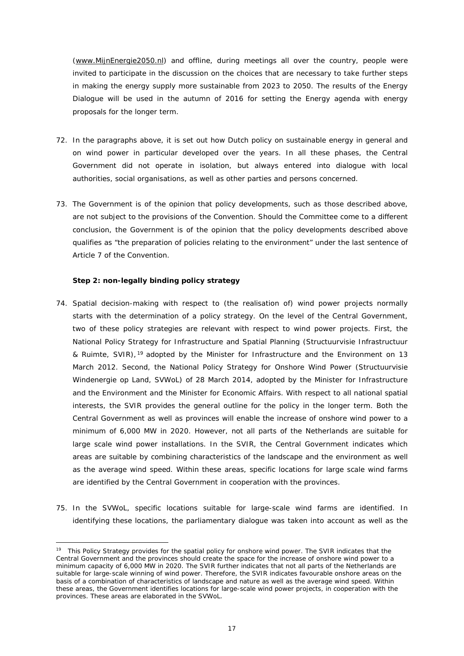[\(www.MijnEnergie2050.nl\)](http://www.mijnenergie2050.nl/) and offline, during meetings all over the country, people were invited to participate in the discussion on the choices that are necessary to take further steps in making the energy supply more sustainable from 2023 to 2050. The results of the Energy Dialogue will be used in the autumn of 2016 for setting the Energy agenda with energy proposals for the longer term.

- 72. In the paragraphs above, it is set out how Dutch policy on sustainable energy in general and on wind power in particular developed over the years. In all these phases, the Central Government did not operate in isolation, but always entered into dialogue with local authorities, social organisations, as well as other parties and persons concerned.
- 73. The Government is of the opinion that policy developments, such as those described above, are not subject to the provisions of the Convention. Should the Committee come to a different conclusion, the Government is of the opinion that the policy developments described above qualifies as "the preparation of policies relating to the environment" under the last sentence of Article 7 of the Convention.

### **Step 2: non-legally binding policy strategy**

<u>.</u>

- 74. Spatial decision-making with respect to (the realisation of) wind power projects normally starts with the determination of a policy strategy. On the level of the Central Government, two of these policy strategies are relevant with respect to wind power projects. First, the National Policy Strategy for Infrastructure and Spatial Planning (*Structuurvisie Infrastructuur & Ruimte*, SVIR), [19](#page-16-0) adopted by the Minister for Infrastructure and the Environment on 13 March 2012. Second, the National Policy Strategy for Onshore Wind Power (*Structuurvisie Windenergie op Land*, SVWoL) of 28 March 2014, adopted by the Minister for Infrastructure and the Environment and the Minister for Economic Affairs. With respect to all national spatial interests, the SVIR provides the general outline for the policy in the longer term. Both the Central Government as well as provinces will enable the increase of onshore wind power to a minimum of 6,000 MW in 2020. However, not all parts of the Netherlands are suitable for large scale wind power installations. In the SVIR, the Central Government indicates which areas are suitable by combining characteristics of the landscape and the environment as well as the average wind speed. Within these areas, specific locations for large scale wind farms are identified by the Central Government in cooperation with the provinces.
- 75. In the SVWoL, specific locations suitable for large-scale wind farms are identified. In identifying these locations, the parliamentary dialogue was taken into account as well as the

<span id="page-16-0"></span><sup>&</sup>lt;sup>19</sup> This Policy Strategy provides for the spatial policy for onshore wind power. The SVIR indicates that the Central Government and the provinces should create the space for the increase of onshore wind power to a minimum capacity of 6,000 MW in 2020. The SVIR further indicates that not all parts of the Netherlands are suitable for large-scale winning of wind power. Therefore, the SVIR indicates favourable onshore areas on the basis of a combination of characteristics of landscape and nature as well as the average wind speed. Within these areas, the Government identifies locations for large-scale wind power projects, in cooperation with the provinces. These areas are elaborated in the SVWoL.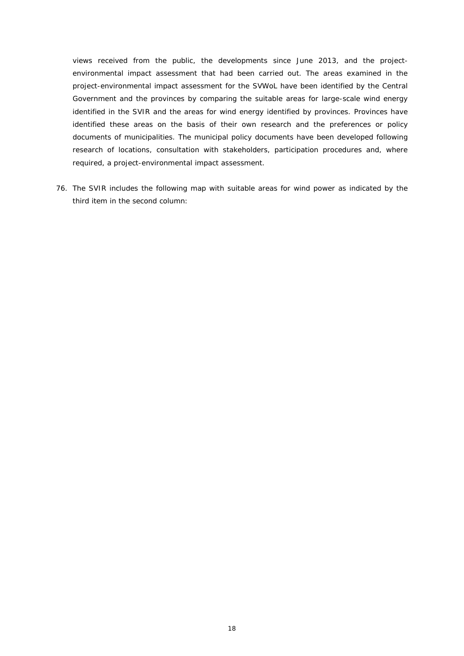views received from the public, the developments since June 2013, and the projectenvironmental impact assessment that had been carried out. The areas examined in the project-environmental impact assessment for the SVWoL have been identified by the Central Government and the provinces by comparing the suitable areas for large-scale wind energy identified in the SVIR and the areas for wind energy identified by provinces. Provinces have identified these areas on the basis of their own research and the preferences or policy documents of municipalities. The municipal policy documents have been developed following research of locations, consultation with stakeholders, participation procedures and, where required, a project-environmental impact assessment.

76. The SVIR includes the following map with suitable areas for wind power as indicated by the third item in the second column: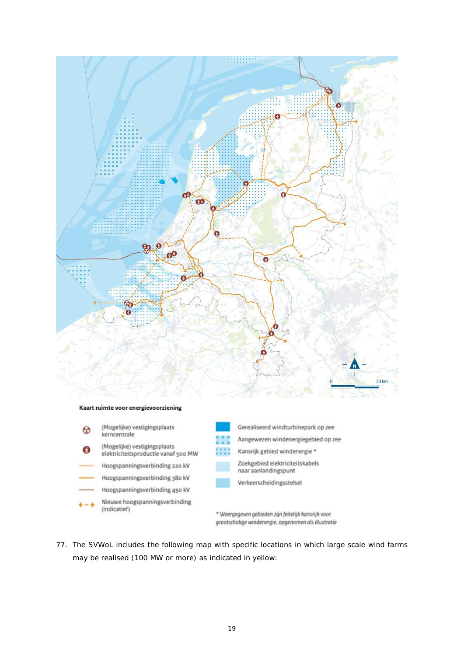

- Kansrijk gebied windenergie \* 88
	- Zoekgebied elektriciteitskabels naar aanlandingspunt
	- Verkeerscheidingsstelsel

\* Weergegeven gebieden zijn feitelijk kansrijk voor grootschalige windenergie, opgenomen als illustratie

77. The SVWoL includes the following map with specific locations in which large scale wind farms may be realised (100 MW or more) as indicated in yellow:

elektriciteitsproductie vanaf 500 MW

Hoogspanningsverbinding 220 kV

Hoogspanningsverbinding 38o kV

Hoogspanningsverbinding 450 kV Nieuwe hoogspanningsverbinding

(indicatief)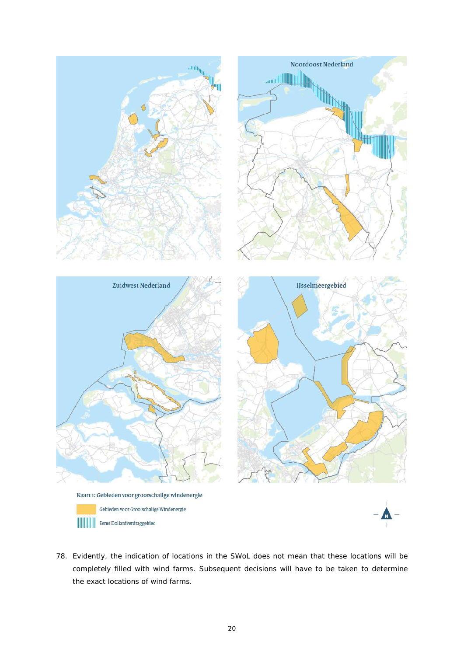

78. Evidently, the indication of locations in the SWoL does not mean that these locations will be completely filled with wind farms. Subsequent decisions will have to be taken to determine the exact locations of wind farms.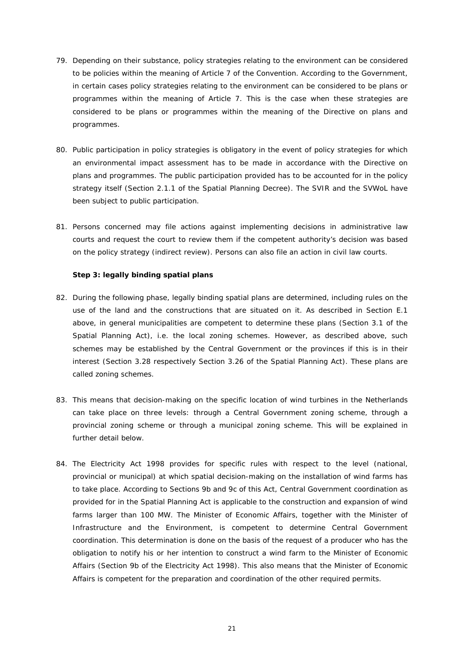- 79. Depending on their substance, policy strategies relating to the environment can be considered to be policies within the meaning of Article 7 of the Convention. According to the Government, in certain cases policy strategies relating to the environment can be considered to be plans or programmes within the meaning of Article 7. This is the case when these strategies are considered to be plans or programmes within the meaning of the Directive on plans and programmes.
- 80. Public participation in policy strategies is obligatory in the event of policy strategies for which an environmental impact assessment has to be made in accordance with the Directive on plans and programmes. The public participation provided has to be accounted for in the policy strategy itself (Section 2.1.1 of the Spatial Planning Decree). The SVIR and the SVWoL have been subject to public participation.
- 81. Persons concerned may file actions against implementing decisions in administrative law courts and request the court to review them if the competent authority's decision was based on the policy strategy (indirect review). Persons can also file an action in civil law courts.

#### **Step 3: legally binding spatial plans**

- 82. During the following phase, legally binding spatial plans are determined, including rules on the use of the land and the constructions that are situated on it. As described in Section E.1 above, in general municipalities are competent to determine these plans (Section 3.1 of the Spatial Planning Act), i.e. the local zoning schemes. However, as described above, such schemes may be established by the Central Government or the provinces if this is in their interest (Section 3.28 respectively Section 3.26 of the Spatial Planning Act). These plans are called zoning schemes.
- 83. This means that decision-making on the specific location of wind turbines in the Netherlands can take place on three levels: through a Central Government zoning scheme, through a provincial zoning scheme or through a municipal zoning scheme. This will be explained in further detail below.
- 84. The Electricity Act 1998 provides for specific rules with respect to the level (national, provincial or municipal) at which spatial decision-making on the installation of wind farms has to take place. According to Sections 9b and 9c of this Act, Central Government coordination as provided for in the Spatial Planning Act is applicable to the construction and expansion of wind farms larger than 100 MW. The Minister of Economic Affairs, together with the Minister of Infrastructure and the Environment, is competent to determine Central Government coordination. This determination is done on the basis of the request of a producer who has the obligation to notify his or her intention to construct a wind farm to the Minister of Economic Affairs (Section 9b of the Electricity Act 1998). This also means that the Minister of Economic Affairs is competent for the preparation and coordination of the other required permits.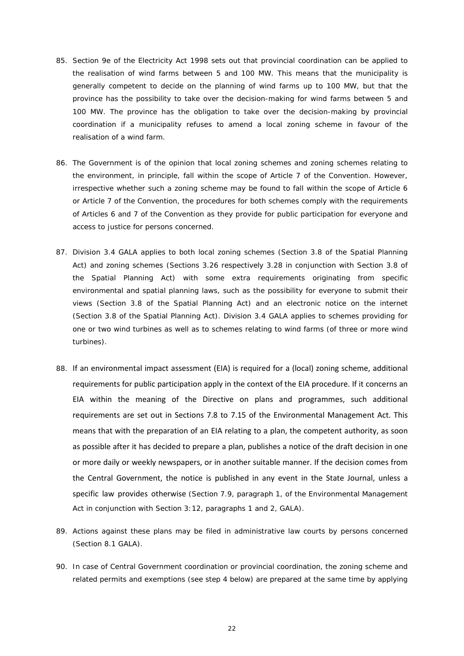- 85. Section 9e of the Electricity Act 1998 sets out that provincial coordination can be applied to the realisation of wind farms between 5 and 100 MW. This means that the municipality is generally competent to decide on the planning of wind farms up to 100 MW, but that the province has *the possibility* to take over the decision-making for wind farms between 5 and 100 MW. The province has *the obligation* to take over the decision-making by provincial coordination if a municipality refuses to amend a local zoning scheme in favour of the realisation of a wind farm.
- 86. The Government is of the opinion that local zoning schemes and zoning schemes relating to the environment, in principle, fall within the scope of Article 7 of the Convention. However, irrespective whether such a zoning scheme may be found to fall within the scope of Article 6 or Article 7 of the Convention, the procedures for both schemes comply with the requirements of Articles 6 and 7 of the Convention as they provide for public participation for everyone and access to justice for persons concerned.
- 87. Division 3.4 GALA applies to both local zoning schemes (Section 3.8 of the Spatial Planning Act) and zoning schemes (Sections 3.26 respectively 3.28 in conjunction with Section 3.8 of the Spatial Planning Act) with some extra requirements originating from specific environmental and spatial planning laws, such as the possibility for everyone to submit their views (Section 3.8 of the Spatial Planning Act) and an electronic notice on the internet (Section 3.8 of the Spatial Planning Act). Division 3.4 GALA applies to schemes providing for one or two wind turbines as well as to schemes relating to wind farms (of three or more wind turbines).
- 88. If an environmental impact assessment (EIA) is required for a (local) zoning scheme, additional requirements for public participation apply in the context of the EIA procedure. If it concerns an EIA within the meaning of the Directive on plans and programmes, such additional requirements are set out in Sections 7.8 to 7.15 of the Environmental Management Act. This means that with the preparation of an EIA relating to a plan, the competent authority, as soon as possible after it has decided to prepare a plan, publishes a notice of the draft decision in one or more daily or weekly newspapers, or in another suitable manner. If the decision comes from the Central Government, the notice is published in any event in the State Journal, unless a specific law provides otherwise (Section 7.9, paragraph 1, of the Environmental Management Act in conjunction with Section 3:12, paragraphs 1 and 2, GALA).
- 89. Actions against these plans may be filed in administrative law courts by persons concerned (Section 8.1 GALA).
- 90. In case of Central Government coordination or provincial coordination, the zoning scheme and related permits and exemptions (see step 4 below) are prepared at the same time by applying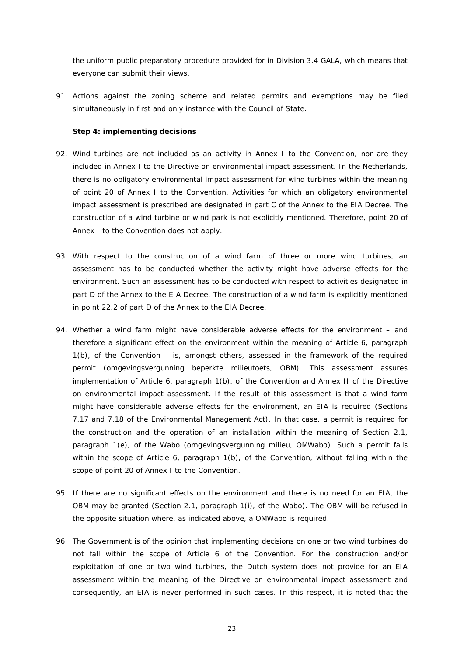the uniform public preparatory procedure provided for in Division 3.4 GALA, which means that everyone can submit their views.

91. Actions against the zoning scheme and related permits and exemptions may be filed simultaneously in first and only instance with the Council of State.

### **Step 4: implementing decisions**

- 92. Wind turbines are not included as an activity in Annex I to the Convention, nor are they included in Annex I to the Directive on environmental impact assessment. In the Netherlands, there is no obligatory environmental impact assessment for wind turbines within the meaning of point 20 of Annex I to the Convention. Activities for which an obligatory environmental impact assessment is prescribed are designated in part C of the Annex to the EIA Decree. The construction of a wind turbine or wind park is not explicitly mentioned. Therefore, point 20 of Annex I to the Convention does not apply.
- 93. With respect to the construction of a wind farm of three or more wind turbines, an assessment has to be conducted whether the activity might have adverse effects for the environment. Such an assessment has to be conducted with respect to activities designated in part D of the Annex to the EIA Decree. The construction of a wind farm is explicitly mentioned in point 22.2 of part D of the Annex to the EIA Decree.
- 94. Whether a wind farm might have considerable adverse effects for the environment and therefore a significant effect on the environment within the meaning of Article 6, paragraph 1(b), of the Convention – is, amongst others, assessed in the framework of the required permit (*omgevingsvergunning beperkte milieutoets*, OBM). This assessment assures implementation of Article 6, paragraph 1(b), of the Convention and Annex II of the Directive on environmental impact assessment. If the result of this assessment is that a wind farm might have considerable adverse effects for the environment, an EIA is required (Sections 7.17 and 7.18 of the Environmental Management Act). In that case, a permit is required for the construction and the operation of an installation within the meaning of Section 2.1, paragraph 1(e), of the Wabo (*omgevingsvergunning milieu*, OMWabo). Such a permit falls within the scope of Article 6, paragraph 1(b), of the Convention, without falling within the scope of point 20 of Annex I to the Convention.
- 95. If there are no significant effects on the environment and there is no need for an EIA, the OBM may be granted (Section 2.1, paragraph 1(i), of the Wabo). The OBM will be refused in the opposite situation where, as indicated above, a OMWabo is required.
- 96. The Government is of the opinion that implementing decisions on one or two wind turbines do not fall within the scope of Article 6 of the Convention. For the construction and/or exploitation of one or two wind turbines, the Dutch system does not provide for an EIA assessment within the meaning of the Directive on environmental impact assessment and consequently, an EIA is never performed in such cases. In this respect, it is noted that the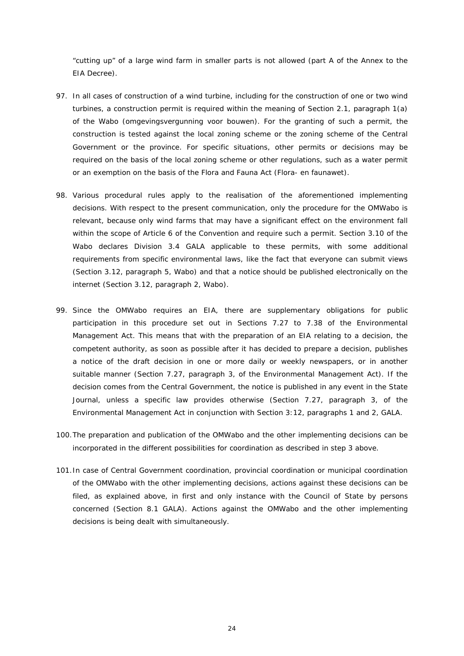"cutting up" of a large wind farm in smaller parts is not allowed (part A of the Annex to the EIA Decree).

- 97. In all cases of construction of a wind turbine, including for the construction of one or two wind turbines, a construction permit is required within the meaning of Section 2.1, paragraph 1(a) of the Wabo (*omgevingsvergunning voor bouwen*). For the granting of such a permit, the construction is tested against the local zoning scheme or the zoning scheme of the Central Government or the province. For specific situations, other permits or decisions may be required on the basis of the local zoning scheme or other regulations, such as a water permit or an exemption on the basis of the Flora and Fauna Act (*Flora- en faunawet*).
- 98. Various procedural rules apply to the realisation of the aforementioned implementing decisions. With respect to the present communication, only the procedure for the OMWabo is relevant, because only wind farms that may have a significant effect on the environment fall within the scope of Article 6 of the Convention and require such a permit. Section 3.10 of the Wabo declares Division 3.4 GALA applicable to these permits, with some additional requirements from specific environmental laws, like the fact that everyone can submit views (Section 3.12, paragraph 5, Wabo) and that a notice should be published electronically on the internet (Section 3.12, paragraph 2, Wabo).
- 99. Since the OMWabo requires an EIA, there are supplementary obligations for public participation in this procedure set out in Sections 7.27 to 7.38 of the Environmental Management Act. This means that with the preparation of an EIA relating to a decision, the competent authority, as soon as possible after it has decided to prepare a decision, publishes a notice of the draft decision in one or more daily or weekly newspapers, or in another suitable manner (Section 7.27, paragraph 3, of the Environmental Management Act). If the decision comes from the Central Government, the notice is published in any event in the State Journal, unless a specific law provides otherwise (Section 7.27, paragraph 3, of the Environmental Management Act in conjunction with Section 3:12, paragraphs 1 and 2, GALA.
- 100.The preparation and publication of the OMWabo and the other implementing decisions can be incorporated in the different possibilities for coordination as described in step 3 above.
- 101.In case of Central Government coordination, provincial coordination or municipal coordination of the OMWabo with the other implementing decisions, actions against these decisions can be filed, as explained above, in first and only instance with the Council of State by persons concerned (Section 8.1 GALA). Actions against the OMWabo and the other implementing decisions is being dealt with simultaneously.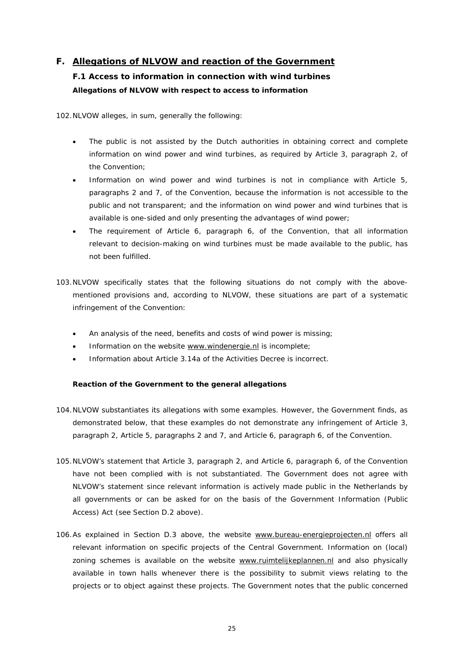### <span id="page-24-1"></span><span id="page-24-0"></span>**F. Allegations of NLVOW and reaction of the Government**

## **F.1 Access to information in connection with wind turbines Allegations of NLVOW with respect to access to information**

102.NLVOW alleges, in sum, generally the following:

- The public is not assisted by the Dutch authorities in obtaining correct and complete information on wind power and wind turbines, as required by Article 3, paragraph 2, of the Convention;
- Information on wind power and wind turbines is not in compliance with Article 5, paragraphs 2 and 7, of the Convention, because the information is not accessible to the public and not transparent; and the information on wind power and wind turbines that is available is one-sided and only presenting the advantages of wind power;
- The requirement of Article 6, paragraph 6, of the Convention, that all information relevant to decision-making on wind turbines must be made available to the public, has not been fulfilled.
- 103.NLVOW specifically states that the following situations do not comply with the abovementioned provisions and, according to NLVOW, these situations are part of a systematic infringement of the Convention:
	- An analysis of the need, benefits and costs of wind power is missing;
	- Information on the website [www.windenergie.nl](http://www.windenergie.nl/) is incomplete;
	- Information about Article 3.14a of the Activities Decree is incorrect.

### **Reaction of the Government to the general allegations**

- 104.NLVOW substantiates its allegations with some examples. However, the Government finds, as demonstrated below, that these examples do not demonstrate any infringement of Article 3, paragraph 2, Article 5, paragraphs 2 and 7, and Article 6, paragraph 6, of the Convention.
- 105.NLVOW's statement that Article 3, paragraph 2, and Article 6, paragraph 6, of the Convention have not been complied with is not substantiated. The Government does not agree with NLVOW's statement since relevant information is actively made public in the Netherlands by all governments or can be asked for on the basis of the Government Information (Public Access) Act (see Section D.2 above).
- 106.As explained in Section D.3 above, the website [www.bureau-energieprojecten.nl](http://www.bureau-energieprojecten.nl/) offers all relevant information on specific projects of the Central Government. Information on (local) zoning schemes is available on the website [www.ruimtelijkeplannen.nl](http://www.ruimtelijkeplannen.nl/) and also physically available in town halls whenever there is the possibility to submit views relating to the projects or to object against these projects. The Government notes that the public concerned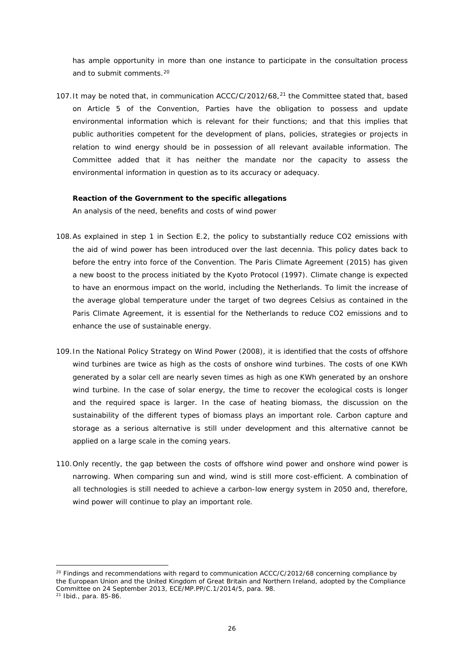has ample opportunity in more than one instance to participate in the consultation process and to submit comments.<sup>[20](#page-25-0)</sup>

107. It may be noted that, in communication ACCC/C/2012/68,<sup>[21](#page-25-1)</sup> the Committee stated that, based on Article 5 of the Convention, Parties have the obligation to possess and update environmental information which is relevant for their functions; and that this implies that public authorities competent for the development of plans, policies, strategies or projects in relation to wind energy should be in possession of all relevant available information. The Committee added that it has neither the mandate nor the capacity to assess the environmental information in question as to its accuracy or adequacy.

#### **Reaction of the Government to the specific allegations**

*An analysis of the need, benefits and costs of wind power*

- 108.As explained in step 1 in Section E.2, the policy to substantially reduce CO2 emissions with the aid of wind power has been introduced over the last decennia. This policy dates back to before the entry into force of the Convention. The Paris Climate Agreement (2015) has given a new boost to the process initiated by the Kyoto Protocol (1997). Climate change is expected to have an enormous impact on the world, including the Netherlands. To limit the increase of the average global temperature under the target of two degrees Celsius as contained in the Paris Climate Agreement, it is essential for the Netherlands to reduce CO2 emissions and to enhance the use of sustainable energy.
- 109.In the National Policy Strategy on Wind Power (2008), it is identified that the costs of offshore wind turbines are twice as high as the costs of onshore wind turbines. The costs of one KWh generated by a solar cell are nearly seven times as high as one KWh generated by an onshore wind turbine. In the case of solar energy, the time to recover the ecological costs is longer and the required space is larger. In the case of heating biomass, the discussion on the sustainability of the different types of biomass plays an important role. Carbon capture and storage as a serious alternative is still under development and this alternative cannot be applied on a large scale in the coming years.
- 110.Only recently, the gap between the costs of offshore wind power and onshore wind power is narrowing. When comparing sun and wind, wind is still more cost-efficient. A combination of all technologies is still needed to achieve a carbon-low energy system in 2050 and, therefore, wind power will continue to play an important role.

<span id="page-25-1"></span><span id="page-25-0"></span> $20$  Findings and recommendations with regard to communication ACCC/C/2012/68 concerning compliance by the European Union and the United Kingdom of Great Britain and Northern Ireland, adopted by the Compliance Committee on 24 September 2013, ECE/MP.PP/C.1/2014/5, para. 98.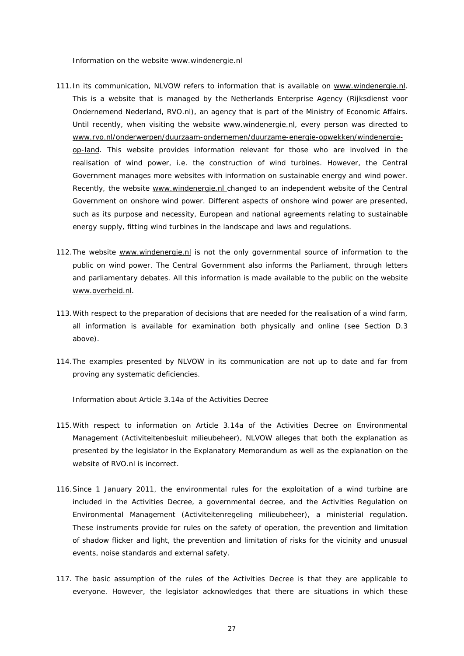*Information on the website [www.windenergie.nl](http://www.windenergie.nl/)*

- 111. In its communication, NLVOW refers to information that is available on [www.windenergie.nl.](http://www.windenergie.nl/) This is a website that is managed by the Netherlands Enterprise Agency (*Rijksdienst voor Ondernemend Nederland*, RVO.nl), an agency that is part of the Ministry of Economic Affairs. Until recently, when visiting the website [www.windenergie.nl,](http://www.windenergie.nl/) every person was directed to [www.rvo.nl/onderwerpen/duurzaam-ondernemen/duurzame-energie-opwekken/windenergie](http://www.rvo.nl/onderwerpen/duurzaam-ondernemen/duurzame-energie-opwekken/windenergie-op-land)[op-land.](http://www.rvo.nl/onderwerpen/duurzaam-ondernemen/duurzame-energie-opwekken/windenergie-op-land) This website provides information relevant for those who are involved in the realisation of wind power, i.e. the construction of wind turbines. However, the Central Government manages more websites with information on sustainable energy and wind power. Recently, the website [www.windenergie.nl](http://www.windenergie.nl/) changed to an independent website of the Central Government on onshore wind power. Different aspects of onshore wind power are presented, such as its purpose and necessity, European and national agreements relating to sustainable energy supply, fitting wind turbines in the landscape and laws and regulations.
- 112. The website [www.windenergie.nl](http://www.windenergie.nl/) is not the only governmental source of information to the public on wind power. The Central Government also informs the Parliament, through letters and parliamentary debates. All this information is made available to the public on the website [www.overheid.nl.](http://www.overheid.nl/)
- 113.With respect to the preparation of decisions that are needed for the realisation of a wind farm, all information is available for examination both physically and online (see Section D.3 above).
- 114.The examples presented by NLVOW in its communication are not up to date and far from proving any systematic deficiencies.

*Information about Article 3.14a of the Activities Decree*

- 115.With respect to information on Article 3.14a of the Activities Decree on Environmental Management (*Activiteitenbesluit milieubeheer*), NLVOW alleges that both the explanation as presented by the legislator in the Explanatory Memorandum as well as the explanation on the website of RVO.nl is incorrect.
- 116.Since 1 January 2011, the environmental rules for the exploitation of a wind turbine are included in the Activities Decree, a governmental decree, and the Activities Regulation on Environmental Management (*Activiteitenregeling milieubeheer*), a ministerial regulation. These instruments provide for rules on the safety of operation, the prevention and limitation of shadow flicker and light, the prevention and limitation of risks for the vicinity and unusual events, noise standards and external safety.
- 117. The basic assumption of the rules of the Activities Decree is that they are applicable to everyone. However, the legislator acknowledges that there are situations in which these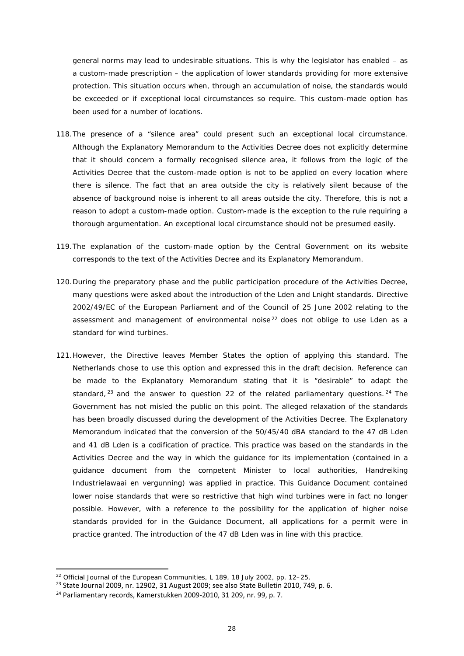general norms may lead to undesirable situations. This is why the legislator has enabled – as a custom-made prescription – the application of lower standards providing for more extensive protection. This situation occurs when, through an accumulation of noise, the standards would be exceeded or if exceptional local circumstances so require. This custom-made option has been used for a number of locations.

- 118.The presence of a "silence area" could present such an exceptional local circumstance. Although the Explanatory Memorandum to the Activities Decree does not explicitly determine that it should concern a formally recognised silence area, it follows from the logic of the Activities Decree that the custom-made option is not to be applied on every location where there is silence. The fact that an area outside the city is relatively silent because of the absence of background noise is inherent to all areas outside the city. Therefore, this is not a reason to adopt a custom-made option. Custom-made is the exception to the rule requiring a thorough argumentation. An exceptional local circumstance should not be presumed easily.
- 119.The explanation of the custom-made option by the Central Government on its website corresponds to the text of the Activities Decree and its Explanatory Memorandum.
- 120.During the preparatory phase and the public participation procedure of the Activities Decree, many questions were asked about the introduction of the Lden and Lnight standards. Directive 2002/49/EC of the European Parliament and of the Council of 25 June 2002 relating to the assessment and management of environmental noise<sup>[22](#page-27-0)</sup> does not oblige to use Lden as a standard for wind turbines.
- 121.However, the Directive leaves Member States the option of applying this standard. The Netherlands chose to use this option and expressed this in the draft decision. Reference can be made to the Explanatory Memorandum stating that it is "desirable" to adapt the standard,  $23$  and the answer to question 22 of the related parliamentary questions.  $24$  The Government has not misled the public on this point. The alleged relaxation of the standards has been broadly discussed during the development of the Activities Decree. The Explanatory Memorandum indicated that the conversion of the 50/45/40 dBA standard to the 47 dB Lden and 41 dB Lden is a codification of practice. This practice was based on the standards in the Activities Decree and the way in which the guidance for its implementation (contained in a guidance document from the competent Minister to local authorities, *Handreiking Industrielawaai en vergunning*) was applied in practice. This Guidance Document contained lower noise standards that were so restrictive that high wind turbines were in fact no longer possible. However, with a reference to the possibility for the application of higher noise standards provided for in the Guidance Document, all applications for a permit were in practice granted. The introduction of the 47 dB Lden was in line with this practice.

 $\overline{a}$ 

<span id="page-27-0"></span><sup>&</sup>lt;sup>22</sup> Official Journal of the European Communities, L 189, 18 July 2002, pp. 12–25.

<span id="page-27-1"></span><sup>23</sup> State Journal 2009, nr. 12902, 31 August 2009; see also State Bulletin 2010, 749, p. 6.

<span id="page-27-2"></span><sup>24</sup> Parliamentary records, Kamerstukken 2009-2010, 31 209, nr. 99, p. 7.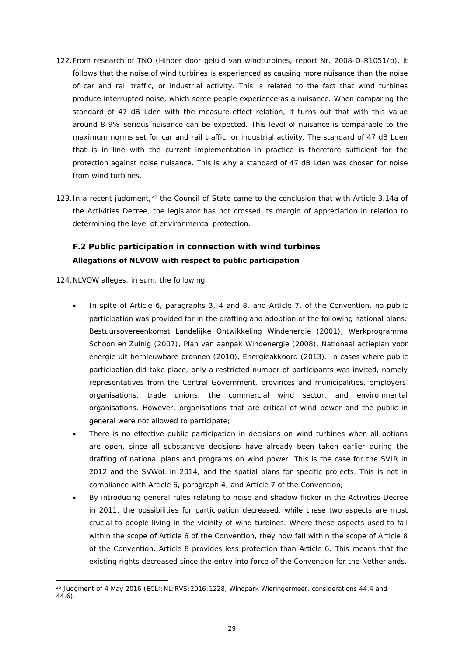- 122.From research of TNO (*Hinder door geluid van windturbines*, report Nr. 2008-D-R1051/b), it follows that the noise of wind turbines is experienced as causing more nuisance than the noise of car and rail traffic, or industrial activity. This is related to the fact that wind turbines produce interrupted noise, which some people experience as a nuisance. When comparing the standard of 47 dB Lden with the measure-effect relation, it turns out that with this value around 8-9% serious nuisance can be expected. This level of nuisance is comparable to the maximum norms set for car and rail traffic, or industrial activity. The standard of 47 dB Lden that is in line with the current implementation in practice is therefore sufficient for the protection against noise nuisance. This is why a standard of 47 dB Lden was chosen for noise from wind turbines.
- 123. In a recent judgment, <sup>[25](#page-28-1)</sup> the Council of State came to the conclusion that with Article 3.14a of the Activities Decree, the legislator has not crossed its margin of appreciation in relation to determining the level of environmental protection.

### <span id="page-28-0"></span>**F.2 Public participation in connection with wind turbines Allegations of NLVOW with respect to public participation**

124.NLVOW alleges, in sum, the following:

- In spite of Article 6, paragraphs 3, 4 and 8, and Article 7, of the Convention, no public participation was provided for in the drafting and adoption of the following national plans: *Bestuursovereenkomst Landelijke Ontwikkeling Windenergie* (2001), *Werkprogramma Schoon en Zuinig* (2007), *Plan van aanpak Windenergie* (2008), *Nationaal actieplan voor energie uit hernieuwbare bronnen* (2010), *Energieakkoord* (2013). In cases where public participation did take place, only a restricted number of participants was invited, namely representatives from the Central Government, provinces and municipalities, employers' organisations, trade unions, the commercial wind sector, and environmental organisations. However, organisations that are critical of wind power and the public in general were not allowed to participate;
- There is no effective public participation in decisions on wind turbines when all options are open, since all substantive decisions have already been taken earlier during the drafting of national plans and programs on wind power. This is the case for the SVIR in 2012 and the SVWoL in 2014, and the spatial plans for specific projects. This is not in compliance with Article 6, paragraph 4, and Article 7 of the Convention;
- By introducing general rules relating to noise and shadow flicker in the Activities Decree in 2011, the possibilities for participation decreased, while these two aspects are most crucial to people living in the vicinity of wind turbines. Where these aspects used to fall within the scope of Article 6 of the Convention, they now fall within the scope of Article 8 of the Convention. Article 8 provides less protection than Article 6. This means that the existing rights decreased since the entry into force of the Convention for the Netherlands.

<span id="page-28-1"></span>**<sup>.</sup>** <sup>25</sup> Judgment of 4 May 2016 (ECLI:NL:RVS:2016:1228, *Windpark Wieringermeer*, considerations 44.4 and 44.6).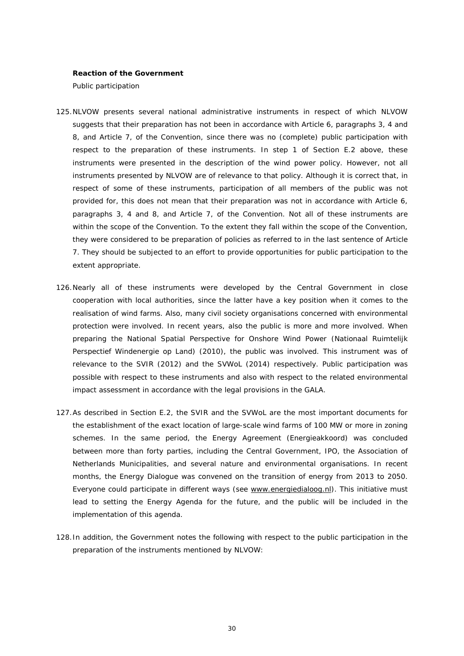#### **Reaction of the Government**

*Public participation*

- 125.NLVOW presents several national administrative instruments in respect of which NLVOW suggests that their preparation has not been in accordance with Article 6, paragraphs 3, 4 and 8, and Article 7, of the Convention, since there was no (complete) public participation with respect to the preparation of these instruments. In step 1 of Section E.2 above, these instruments were presented in the description of the wind power policy. However, not all instruments presented by NLVOW are of relevance to that policy. Although it is correct that, in respect of some of these instruments, participation of all members of the public was not provided for, this does not mean that their preparation was not in accordance with Article 6, paragraphs 3, 4 and 8, and Article 7, of the Convention. Not all of these instruments are within the scope of the Convention. To the extent they fall within the scope of the Convention, they were considered to be preparation of policies as referred to in the last sentence of Article 7. They should be subjected to an effort to provide opportunities for public participation to the extent appropriate.
- 126.Nearly all of these instruments were developed by the Central Government in close cooperation with local authorities, since the latter have a key position when it comes to the realisation of wind farms. Also, many civil society organisations concerned with environmental protection were involved. In recent years, also the public is more and more involved. When preparing the National Spatial Perspective for Onshore Wind Power (*Nationaal Ruimtelijk Perspectief Windenergie op Land*) (2010), the public was involved. This instrument was of relevance to the SVIR (2012) and the SVWoL (2014) respectively. Public participation was possible with respect to these instruments and also with respect to the related environmental impact assessment in accordance with the legal provisions in the GALA.
- 127.As described in Section E.2, the SVIR and the SVWoL are the most important documents for the establishment of the exact location of large-scale wind farms of 100 MW or more in zoning schemes. In the same period, the Energy Agreement (*Energieakkoord*) was concluded between more than forty parties, including the Central Government, IPO, the Association of Netherlands Municipalities, and several nature and environmental organisations. In recent months, the Energy Dialogue was convened on the transition of energy from 2013 to 2050. Everyone could participate in different ways (see [www.energiedialoog.nl\)](http://www.energiedialoog.nl/). This initiative must lead to setting the Energy Agenda for the future, and the public will be included in the implementation of this agenda.
- 128.In addition, the Government notes the following with respect to the public participation in the preparation of the instruments mentioned by NLVOW: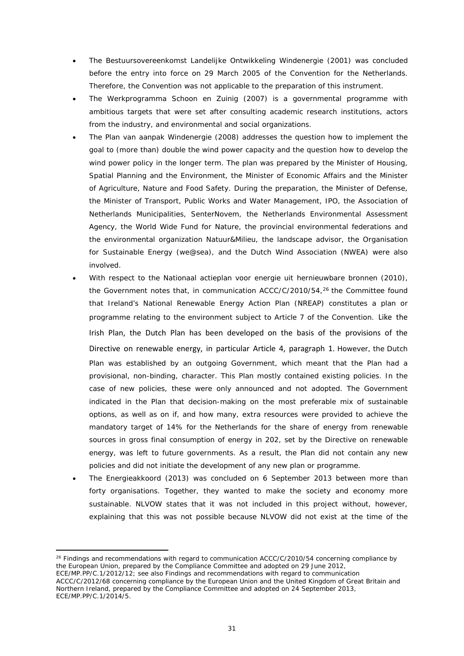- The *Bestuursovereenkomst Landelijke Ontwikkeling Windenergie* (2001) was concluded before the entry into force on 29 March 2005 of the Convention for the Netherlands. Therefore, the Convention was not applicable to the preparation of this instrument.
- The *Werkprogramma Schoon en Zuinig* (2007) is a governmental programme with ambitious targets that were set after consulting academic research institutions, actors from the industry, and environmental and social organizations.
- The *Plan van aanpak Windenergie* (2008) addresses the question how to implement the goal to (more than) double the wind power capacity and the question how to develop the wind power policy in the longer term. The plan was prepared by the Minister of Housing, Spatial Planning and the Environment, the Minister of Economic Affairs and the Minister of Agriculture, Nature and Food Safety. During the preparation, the Minister of Defense, the Minister of Transport, Public Works and Water Management, IPO, the Association of Netherlands Municipalities, SenterNovem, the Netherlands Environmental Assessment Agency, the World Wide Fund for Nature, the provincial environmental federations and the environmental organization *Natuur&Milieu*, the landscape advisor, the Organisation for Sustainable Energy (we@sea), and the Dutch Wind Association (NWEA) were also involved.
- With respect to the *Nationaal actieplan voor energie uit hernieuwbare bronnen* (2010), the Government notes that, in communication ACCC/C/2010/54, $^{26}$  the Committee found that Ireland's National Renewable Energy Action Plan (NREAP) constitutes a plan or programme relating to the environment subject to Article 7 of the Convention. Like the Irish Plan, the Dutch Plan has been developed on the basis of the provisions of the Directive on renewable energy, in particular Article 4, paragraph 1. However, the Dutch Plan was established by an outgoing Government, which meant that the Plan had a provisional, non-binding, character. This Plan mostly contained existing policies. In the case of new policies, these were only announced and not adopted. The Government indicated in the Plan that decision-making on the most preferable mix of sustainable options, as well as on if, and how many, extra resources were provided to achieve the mandatory target of 14% for the Netherlands for the share of energy from renewable sources in gross final consumption of energy in 202, set by the Directive on renewable energy, was left to future governments. As a result, the Plan did not contain any new policies and did not initiate the development of any new plan or programme.
- The *Energieakkoord* (2013) was concluded on 6 September 2013 between more than forty organisations. Together, they wanted to make the society and economy more sustainable. NLVOW states that it was not included in this project without, however, explaining that this was not possible because NLVOW did not exist at the time of the

<u>.</u>

ECE/MP.PP/C.1/2012/12; see also Findings and recommendations with regard to communication ACCC/C/2012/68 concerning compliance by the European Union and the United Kingdom of Great Britain and Northern Ireland, prepared by the Compliance Committee and adopted on 24 September 2013, ECE/MP.PP/C.1/2014/5.

<span id="page-30-0"></span><sup>&</sup>lt;sup>26</sup> Findings and recommendations with regard to communication ACCC/C/2010/54 concerning compliance by the European Union, prepared by the Compliance Committee and adopted on 29 June 2012,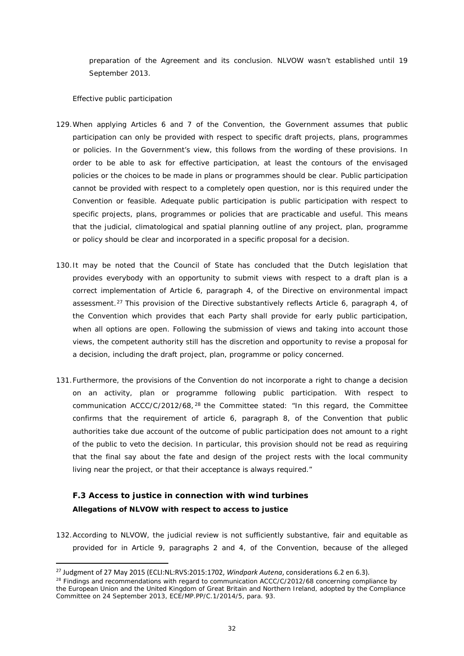preparation of the Agreement and its conclusion. NLVOW wasn't established until 19 September 2013.

#### *Effective public participation*

- 129.When applying Articles 6 and 7 of the Convention, the Government assumes that public participation can only be provided with respect to specific *draft* projects, plans, programmes or policies. In the Government's view, this follows from the wording of these provisions. In order to be able to ask for effective participation, at least the contours of the envisaged policies or the choices to be made in plans or programmes should be clear. Public participation cannot be provided with respect to a completely open question, nor is this required under the Convention or feasible. Adequate public participation is public participation with respect to specific projects, plans, programmes or policies that are practicable and useful. This means that the judicial, climatological and spatial planning outline of any project, plan, programme or policy should be clear and incorporated in a specific proposal for a decision.
- 130.It may be noted that the Council of State has concluded that the Dutch legislation that provides everybody with an opportunity to submit views with respect to a draft plan is a correct implementation of Article 6, paragraph 4, of the Directive on environmental impact assessment.<sup>[27](#page-31-1)</sup> This provision of the Directive substantively reflects Article 6, paragraph 4, of the Convention which provides that each Party shall provide for early public participation, when all options are open. Following the submission of views and taking into account those views, the competent authority still has the discretion and opportunity to revise a proposal for a decision, including the draft project, plan, programme or policy concerned.
- 131.Furthermore, the provisions of the Convention do not incorporate a right to change a decision on an activity, plan or programme following public participation. With respect to communication ACCC/C/2012/68,  $^{28}$  $^{28}$  $^{28}$  the Committee stated: "In this regard, the Committee confirms that the requirement of article 6, paragraph 8, of the Convention that public authorities take due account of the outcome of public participation does not amount to a right of the public to veto the decision. In particular, this provision should not be read as requiring that the final say about the fate and design of the project rests with the local community living near the project, or that their acceptance is always required."

# <span id="page-31-0"></span>**F.3 Access to justice in connection with wind turbines Allegations of NLVOW with respect to access to justice**

132.According to NLVOW, the judicial review is not sufficiently substantive, fair and equitable as provided for in Article 9, paragraphs 2 and 4, of the Convention, because of the alleged

<span id="page-31-1"></span> <sup>27</sup> Judgment of 27 May 2015 (ECLI:NL:RVS:2015:1702, *Windpark Autena*, considerations 6.2 en 6.3).

<span id="page-31-2"></span><sup>&</sup>lt;sup>28</sup> Findings and recommendations with regard to communication ACCC/C/2012/68 concerning compliance by the European Union and the United Kingdom of Great Britain and Northern Ireland, adopted by the Compliance Committee on 24 September 2013, ECE/MP.PP/C.1/2014/5, para. 93.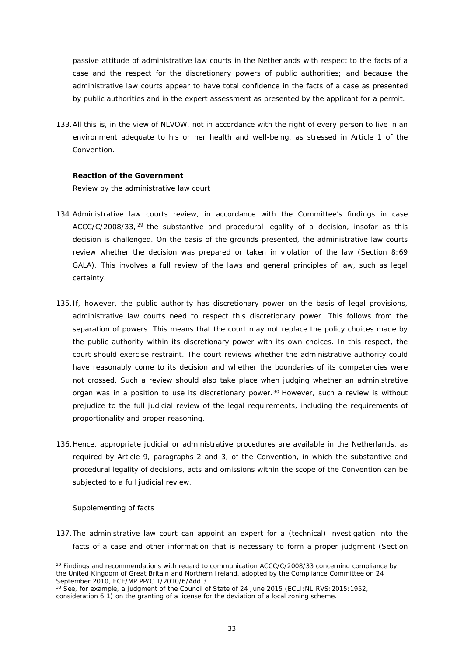passive attitude of administrative law courts in the Netherlands with respect to the facts of a case and the respect for the discretionary powers of public authorities; and because the administrative law courts appear to have total confidence in the facts of a case as presented by public authorities and in the expert assessment as presented by the applicant for a permit.

133.All this is, in the view of NLVOW, not in accordance with the right of every person to live in an environment adequate to his or her health and well-being, as stressed in Article 1 of the Convention.

### **Reaction of the Government**

*Review by the administrative law court*

- 134.Administrative law courts review, in accordance with the Committee's findings in case  $ACC/C/2008/33$ ,  $^{29}$  $^{29}$  $^{29}$  the substantive and procedural legality of a decision, insofar as this decision is challenged. On the basis of the grounds presented, the administrative law courts review whether the decision was prepared or taken in violation of the law (Section 8:69 GALA). This involves a full review of the laws and general principles of law, such as legal certainty.
- 135.If, however, the public authority has discretionary power on the basis of legal provisions, administrative law courts need to respect this discretionary power. This follows from the separation of powers. This means that the court may not replace the policy choices made by the public authority within its discretionary power with its own choices. In this respect, the court should exercise restraint. The court reviews whether the administrative authority could have reasonably come to its decision and whether the boundaries of its competencies were not crossed. Such a review should also take place when judging whether an administrative organ was in a position to use its discretionary power.<sup>[30](#page-32-1)</sup> However, such a review is without prejudice to the full judicial review of the legal requirements, including the requirements of proportionality and proper reasoning.
- 136.Hence, appropriate judicial or administrative procedures are available in the Netherlands, as required by Article 9, paragraphs 2 and 3, of the Convention, in which the substantive and procedural legality of decisions, acts and omissions within the scope of the Convention can be subjected to a full judicial review.

#### *Supplementing of facts*

<u>.</u>

137.The administrative law court can appoint an expert for a (technical) investigation into the facts of a case and other information that is necessary to form a proper judgment (Section

<span id="page-32-0"></span> $29$  Findings and recommendations with regard to communication ACCC/C/2008/33 concerning compliance by the United Kingdom of Great Britain and Northern Ireland, adopted by the Compliance Committee on 24 September 2010, ECE/MP.PP/C.1/2010/6/Add.3.

<span id="page-32-1"></span><sup>&</sup>lt;sup>30</sup> See, for example, a judgment of the Council of State of 24 June 2015 (ECLI: NL: RVS: 2015: 1952, consideration 6.1) on the granting of a license for the deviation of a local zoning scheme.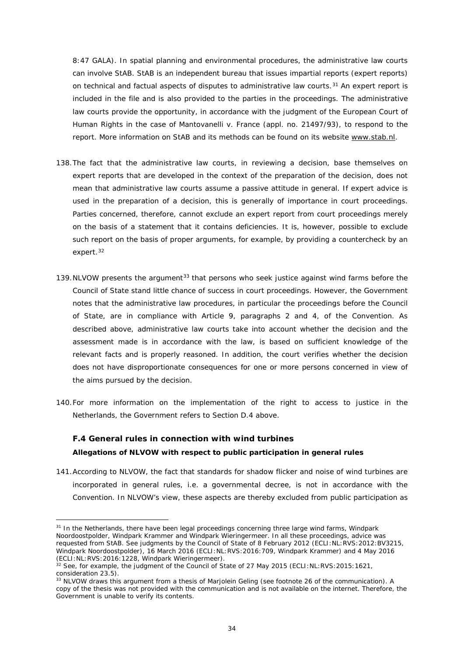8:47 GALA). In spatial planning and environmental procedures, the administrative law courts can involve StAB. StAB is an independent bureau that issues impartial reports (expert reports) on technical and factual aspects of disputes to administrative law courts.<sup>[31](#page-33-1)</sup> An expert report is included in the file and is also provided to the parties in the proceedings. The administrative law courts provide the opportunity, in accordance with the judgment of the European Court of Human Rights in the case of *Mantovanelli v. France* (appl. no. 21497/93), to respond to the report. More information on StAB and its methods can be found on its website [www.stab.nl.](http://www.stab.nl/)

- 138.The fact that the administrative law courts, in reviewing a decision, base themselves on expert reports that are developed in the context of the preparation of the decision, does not mean that administrative law courts assume a passive attitude in general. If expert advice is used in the preparation of a decision, this is generally of importance in court proceedings. Parties concerned, therefore, cannot exclude an expert report from court proceedings merely on the basis of a statement that it contains deficiencies. It is, however, possible to exclude such report on the basis of proper arguments, for example, by providing a countercheck by an expert.[32](#page-33-2)
- 139. NLVOW presents the argument<sup>[33](#page-33-3)</sup> that persons who seek justice against wind farms before the Council of State stand little chance of success in court proceedings. However, the Government notes that the administrative law procedures, in particular the proceedings before the Council of State, are in compliance with Article 9, paragraphs 2 and 4, of the Convention. As described above, administrative law courts take into account whether the decision and the assessment made is in accordance with the law, is based on sufficient knowledge of the relevant facts and is properly reasoned. In addition, the court verifies whether the decision does not have disproportionate consequences for one or more persons concerned in view of the aims pursued by the decision.
- 140.For more information on the implementation of the right to access to justice in the Netherlands, the Government refers to Section D.4 above.

### <span id="page-33-0"></span>**F.4 General rules in connection with wind turbines Allegations of NLVOW with respect to public participation in general rules**

141.According to NLVOW, the fact that standards for shadow flicker and noise of wind turbines are incorporated in general rules, i.e. a governmental decree, is not in accordance with the Convention. In NLVOW's view, these aspects are thereby excluded from public participation as

 $\overline{a}$ 

<span id="page-33-1"></span><sup>31</sup> In the Netherlands, there have been legal proceedings concerning three large wind farms, *Windpark Noordoostpolder*, *Windpark Krammer* and *Windpark Wieringermeer*. In all these proceedings, advice was requested from StAB. See judgments by the Council of State of 8 February 2012 (ECLI:NL:RVS:2012:BV3215, *Windpark Noordoostpolder*), 16 March 2016 (ECLI:NL:RVS:2016:709, *Windpark Krammer*) and 4 May 2016 (ECLI:NL:RVS:2016:1228, *Windpark Wieringermeer*).

<span id="page-33-2"></span> $32$  See, for example, the judgment of the Council of State of 27 May 2015 (ECLI:NL:RVS: 2015: 1621, consideration 23.5).

<span id="page-33-3"></span><sup>&</sup>lt;sup>33</sup> NLVOW draws this argument from a thesis of Marjolein Geling (see footnote 26 of the communication). A copy of the thesis was not provided with the communication and is not available on the internet. Therefore, the Government is unable to verify its contents.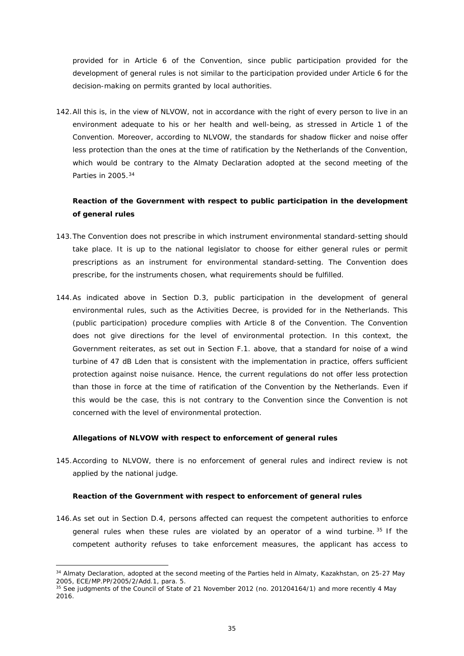provided for in Article 6 of the Convention, since public participation provided for the development of general rules is not similar to the participation provided under Article 6 for the decision-making on permits granted by local authorities.

142.All this is, in the view of NLVOW, not in accordance with the right of every person to live in an environment adequate to his or her health and well-being, as stressed in Article 1 of the Convention. Moreover, according to NLVOW, the standards for shadow flicker and noise offer less protection than the ones at the time of ratification by the Netherlands of the Convention, which would be contrary to the Almaty Declaration adopted at the second meeting of the Parties in 2005.[34](#page-34-0)

### **Reaction of the Government with respect to public participation in the development of general rules**

- 143.The Convention does not prescribe in which instrument environmental standard-setting should take place. It is up to the national legislator to choose for either general rules or permit prescriptions as an instrument for environmental standard-setting. The Convention does prescribe, for the instruments chosen, what requirements should be fulfilled.
- 144.As indicated above in Section D.3, public participation in the development of general environmental rules, such as the Activities Decree, is provided for in the Netherlands. This (public participation) procedure complies with Article 8 of the Convention. The Convention does not give directions for the level of environmental protection. In this context, the Government reiterates, as set out in Section F.1. above, that a standard for noise of a wind turbine of 47 dB Lden that is consistent with the implementation in practice, offers sufficient protection against noise nuisance. Hence, the current regulations do not offer less protection than those in force at the time of ratification of the Convention by the Netherlands. Even if this would be the case, this is not contrary to the Convention since the Convention is not concerned with the level of environmental protection.

### **Allegations of NLVOW with respect to enforcement of general rules**

**.** 

145.According to NLVOW, there is no enforcement of general rules and indirect review is not applied by the national judge.

#### **Reaction of the Government with respect to enforcement of general rules**

146.As set out in Section D.4, persons affected can request the competent authorities to enforce general rules when these rules are violated by an operator of a wind turbine.  $35$  If the competent authority refuses to take enforcement measures, the applicant has access to

<span id="page-34-0"></span><sup>&</sup>lt;sup>34</sup> Almaty Declaration, adopted at the second meeting of the Parties held in Almaty, Kazakhstan, on 25-27 May 2005, ECE/MP.PP/2005/2/Add.1, para. 5.

<span id="page-34-1"></span><sup>&</sup>lt;sup>35</sup> See judgments of the Council of State of 21 November 2012 (no. 201204164/1) and more recently 4 May 2016.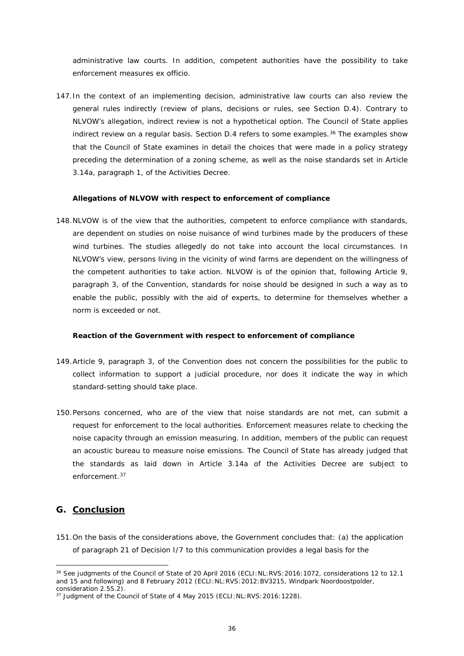administrative law courts. In addition, competent authorities have the possibility to take enforcement measures *ex officio*.

147.In the context of an implementing decision, administrative law courts can also review the general rules indirectly (review of plans, decisions or rules, see Section D.4). Contrary to NLVOW's allegation, indirect review is not a hypothetical option. The Council of State applies indirect review on a regular basis. Section  $D.4$  refers to some examples.<sup>[36](#page-35-1)</sup> The examples show that the Council of State examines in detail the choices that were made in a policy strategy preceding the determination of a zoning scheme, as well as the noise standards set in Article 3.14a, paragraph 1, of the Activities Decree.

#### **Allegations of NLVOW with respect to enforcement of compliance**

148.NLVOW is of the view that the authorities, competent to enforce compliance with standards, are dependent on studies on noise nuisance of wind turbines made by the producers of these wind turbines. The studies allegedly do not take into account the local circumstances. In NLVOW's view, persons living in the vicinity of wind farms are dependent on the willingness of the competent authorities to take action. NLVOW is of the opinion that, following Article 9, paragraph 3, of the Convention, standards for noise should be designed in such a way as to enable the public, possibly with the aid of experts, to determine for themselves whether a norm is exceeded or not.

#### **Reaction of the Government with respect to enforcement of compliance**

- 149.Article 9, paragraph 3, of the Convention does not concern the possibilities for the public to collect information to support a judicial procedure, nor does it indicate the way in which standard-setting should take place.
- 150.Persons concerned, who are of the view that noise standards are not met, can submit a request for enforcement to the local authorities. Enforcement measures relate to checking the noise capacity through an emission measuring. In addition, members of the public can request an acoustic bureau to measure noise emissions. The Council of State has already judged that the standards as laid down in Article 3.14a of the Activities Decree are subject to enforcement.[37](#page-35-2)

### <span id="page-35-0"></span>**G. Conclusion**

**.** 

151.On the basis of the considerations above, the Government concludes that: (a) the application of paragraph 21 of Decision I/7 to this communication provides a legal basis for the

<span id="page-35-1"></span><sup>36</sup> See judgments of the Council of State of 20 April 2016 (ECLI:NL:RVS:2016:1072, considerations 12 to 12.1 and 15 and following) and 8 February 2012 (ECLI:NL:RVS:2012:BV3215, *Windpark Noordoostpolder*, consideration 2.55.2).

<span id="page-35-2"></span> $37$  Judgment of the Council of State of 4 May 2015 (ECLI:NL:RVS: 2016: 1228).